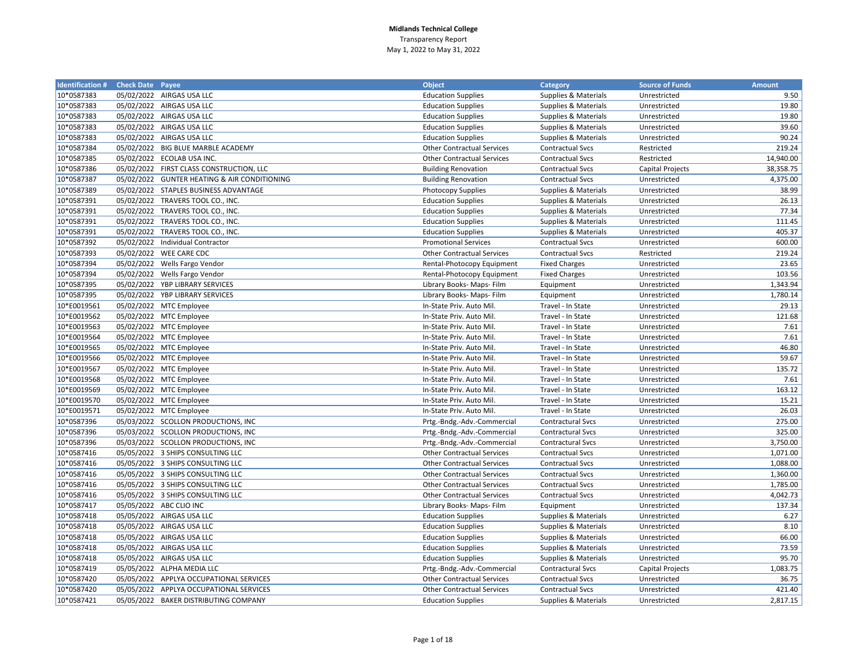| <b>Identification # Check Date Payee</b> |                                              | <b>Object</b>                     | Category                        | <b>Source of Funds</b> | <b>Amount</b> |
|------------------------------------------|----------------------------------------------|-----------------------------------|---------------------------------|------------------------|---------------|
| 10*0587383                               | 05/02/2022 AIRGAS USA LLC                    | <b>Education Supplies</b>         | <b>Supplies &amp; Materials</b> | Unrestricted           | 9.50          |
| 10*0587383                               | 05/02/2022 AIRGAS USA LLC                    | <b>Education Supplies</b>         | Supplies & Materials            | Unrestricted           | 19.80         |
| 10*0587383                               | 05/02/2022 AIRGAS USA LLC                    | <b>Education Supplies</b>         | Supplies & Materials            | Unrestricted           | 19.80         |
| 10*0587383                               | 05/02/2022 AIRGAS USA LLC                    | <b>Education Supplies</b>         | Supplies & Materials            | Unrestricted           | 39.60         |
| 10*0587383                               | 05/02/2022 AIRGAS USA LLC                    | <b>Education Supplies</b>         | Supplies & Materials            | Unrestricted           | 90.24         |
| 10*0587384                               | 05/02/2022 BIG BLUE MARBLE ACADEMY           | <b>Other Contractual Services</b> | <b>Contractual Svcs</b>         | Restricted             | 219.24        |
| 10*0587385                               | 05/02/2022 ECOLAB USA INC.                   | <b>Other Contractual Services</b> | <b>Contractual Svcs</b>         | Restricted             | 14,940.00     |
| 10*0587386                               | 05/02/2022 FIRST CLASS CONSTRUCTION, LLC     | <b>Building Renovation</b>        | <b>Contractual Svcs</b>         | Capital Projects       | 38,358.75     |
| 10*0587387                               | 05/02/2022 GUNTER HEATING & AIR CONDITIONING | <b>Building Renovation</b>        | <b>Contractual Svcs</b>         | Unrestricted           | 4,375.00      |
| 10*0587389                               | 05/02/2022 STAPLES BUSINESS ADVANTAGE        | <b>Photocopy Supplies</b>         | Supplies & Materials            | Unrestricted           | 38.99         |
| 10*0587391                               | 05/02/2022 TRAVERS TOOL CO., INC.            | <b>Education Supplies</b>         | Supplies & Materials            | Unrestricted           | 26.13         |
| 10*0587391                               | 05/02/2022 TRAVERS TOOL CO., INC.            | <b>Education Supplies</b>         | <b>Supplies &amp; Materials</b> | Unrestricted           | 77.34         |
| 10*0587391                               | 05/02/2022 TRAVERS TOOL CO., INC.            | <b>Education Supplies</b>         | <b>Supplies &amp; Materials</b> | Unrestricted           | 111.45        |
| 10*0587391                               | 05/02/2022 TRAVERS TOOL CO., INC.            | <b>Education Supplies</b>         | Supplies & Materials            | Unrestricted           | 405.37        |
| 10*0587392                               | 05/02/2022 Individual Contractor             | <b>Promotional Services</b>       | <b>Contractual Svcs</b>         | Unrestricted           | 600.00        |
| 10*0587393                               | 05/02/2022 WEE CARE CDC                      | <b>Other Contractual Services</b> | <b>Contractual Svcs</b>         | Restricted             | 219.24        |
| 10*0587394                               | 05/02/2022 Wells Fargo Vendor                | Rental-Photocopy Equipment        | <b>Fixed Charges</b>            | Unrestricted           | 23.65         |
| 10*0587394                               | 05/02/2022 Wells Fargo Vendor                | Rental-Photocopy Equipment        | <b>Fixed Charges</b>            | Unrestricted           | 103.56        |
| 10*0587395                               | 05/02/2022 YBP LIBRARY SERVICES              | Library Books- Maps- Film         | Equipment                       | Unrestricted           | 1,343.94      |
| 10*0587395                               | 05/02/2022 YBP LIBRARY SERVICES              | Library Books- Maps- Film         | Equipment                       | Unrestricted           | 1,780.14      |
| 10*E0019561                              | 05/02/2022 MTC Employee                      | In-State Priv. Auto Mil.          | Travel - In State               | Unrestricted           | 29.13         |
| 10*E0019562                              | 05/02/2022 MTC Employee                      | In-State Priv. Auto Mil           | Travel - In State               | Unrestricted           | 121.68        |
| 10*E0019563                              | 05/02/2022 MTC Employee                      | In-State Priv. Auto Mil           | Travel - In State               | Unrestricted           | 7.61          |
| 10*E0019564                              | 05/02/2022 MTC Employee                      | In-State Priv. Auto Mil           | Travel - In State               | Unrestricted           | 7.61          |
| 10*E0019565                              | 05/02/2022 MTC Employee                      | In-State Priv. Auto Mil           | Travel - In State               | Unrestricted           | 46.80         |
| 10*E0019566                              | 05/02/2022 MTC Employee                      | In-State Priv. Auto Mil           | Travel - In State               | Unrestricted           | 59.67         |
| 10*E0019567                              | 05/02/2022 MTC Employee                      | In-State Priv. Auto Mil           | Travel - In State               | Unrestricted           | 135.72        |
| 10*E0019568                              | 05/02/2022 MTC Employee                      | In-State Priv. Auto Mil           | Travel - In State               | Unrestricted           | 7.61          |
| 10*E0019569                              | 05/02/2022 MTC Employee                      | In-State Priv. Auto Mil           | Travel - In State               | Unrestricted           | 163.12        |
| 10*E0019570                              | 05/02/2022 MTC Employee                      | In-State Priv. Auto Mil           | Travel - In State               | Unrestricted           | 15.21         |
| 10*E0019571                              | 05/02/2022 MTC Employee                      | In-State Priv. Auto Mil           | Travel - In State               | Unrestricted           | 26.03         |
| 10*0587396                               | 05/03/2022 SCOLLON PRODUCTIONS, INC          | Prtg.-Bndg.-Adv.-Commercial       | Contractural Svcs               | Unrestricted           | 275.00        |
| 10*0587396                               | 05/03/2022 SCOLLON PRODUCTIONS, INC          | Prtg.-Bndg.-Adv.-Commercial       | <b>Contractural Svcs</b>        | Unrestricted           | 325.00        |
| 10*0587396                               | 05/03/2022 SCOLLON PRODUCTIONS, INC          | Prtg.-Bndg.-Adv.-Commercial       | <b>Contractural Svcs</b>        | Unrestricted           | 3,750.00      |
| 10*0587416                               | 05/05/2022 3 SHIPS CONSULTING LLC            | <b>Other Contractual Services</b> | <b>Contractual Svcs</b>         | Unrestricted           | 1,071.00      |
| 10*0587416                               | 05/05/2022 3 SHIPS CONSULTING LLC            | <b>Other Contractual Services</b> | <b>Contractual Svcs</b>         | Unrestricted           | 1,088.00      |
| 10*0587416                               | 05/05/2022 3 SHIPS CONSULTING LLC            | <b>Other Contractual Services</b> | <b>Contractual Svcs</b>         | Unrestricted           | 1,360.00      |
| 10*0587416                               | 05/05/2022 3 SHIPS CONSULTING LLC            | <b>Other Contractual Services</b> | Contractual Svcs                | Unrestricted           | 1,785.00      |
| 10*0587416                               | 05/05/2022 3 SHIPS CONSULTING LLC            | <b>Other Contractual Services</b> | <b>Contractual Svcs</b>         | Unrestricted           | 4,042.73      |
| 10*0587417                               | 05/05/2022 ABC CLIO INC                      | Library Books- Maps- Film         | Equipment                       | Unrestricted           | 137.34        |
| 10*0587418                               | 05/05/2022 AIRGAS USA LLC                    | <b>Education Supplies</b>         | Supplies & Materials            | Unrestricted           | 6.27          |
| 10*0587418                               | 05/05/2022 AIRGAS USA LLC                    | <b>Education Supplies</b>         | Supplies & Materials            | Unrestricted           | 8.10          |
| 10*0587418                               | 05/05/2022 AIRGAS USA LLC                    | <b>Education Supplies</b>         | Supplies & Materials            | Unrestricted           | 66.00         |
| 10*0587418                               | 05/05/2022 AIRGAS USA LLC                    | <b>Education Supplies</b>         | Supplies & Materials            | Unrestricted           | 73.59         |
| 10*0587418                               | 05/05/2022 AIRGAS USA LLC                    | <b>Education Supplies</b>         | Supplies & Materials            | Unrestricted           | 95.70         |
| 10*0587419                               | 05/05/2022 ALPHA MEDIA LLC                   | Prtg.-Bndg.-Adv.-Commercial       | Contractural Svcs               | Capital Projects       | 1,083.75      |
| 10*0587420                               | 05/05/2022 APPLYA OCCUPATIONAL SERVICES      | <b>Other Contractual Services</b> | <b>Contractual Svcs</b>         | Unrestricted           | 36.75         |
| 10*0587420                               | 05/05/2022 APPLYA OCCUPATIONAL SERVICES      | <b>Other Contractual Services</b> | <b>Contractual Svcs</b>         | Unrestricted           | 421.40        |
| 10*0587421                               | 05/05/2022 BAKER DISTRIBUTING COMPANY        | <b>Education Supplies</b>         | Supplies & Materials            | Unrestricted           | 2,817.15      |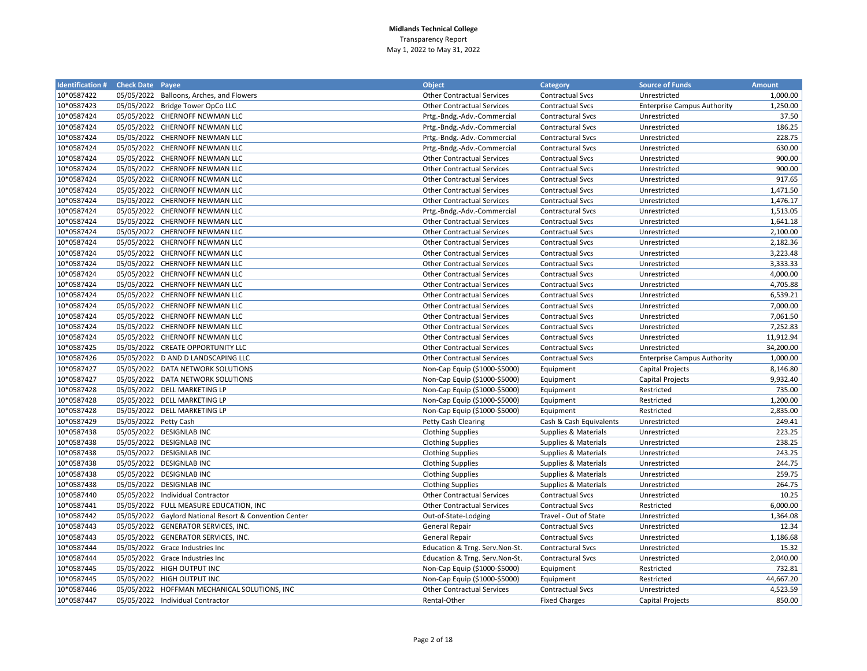| <b>Identification #</b> | <b>Check Date Payee</b> |                                                        | <b>Object</b>                     | <b>Category</b>                 | <b>Source of Funds</b>             | <b>Amount</b> |
|-------------------------|-------------------------|--------------------------------------------------------|-----------------------------------|---------------------------------|------------------------------------|---------------|
| 10*0587422              |                         | 05/05/2022 Balloons, Arches, and Flowers               | <b>Other Contractual Services</b> | <b>Contractual Svcs</b>         | Unrestricted                       | 1,000.00      |
| 10*0587423              |                         | 05/05/2022 Bridge Tower OpCo LLC                       | <b>Other Contractual Services</b> | <b>Contractual Svcs</b>         | <b>Enterprise Campus Authority</b> | 1,250.00      |
| 10*0587424              |                         | 05/05/2022 CHERNOFF NEWMAN LLC                         | Prtg.-Bndg.-Adv.-Commercial       | <b>Contractural Svcs</b>        | Unrestricted                       | 37.50         |
| 10*0587424              |                         | 05/05/2022 CHERNOFF NEWMAN LLC                         | Prtg.-Bndg.-Adv.-Commercial       | <b>Contractural Svcs</b>        | Unrestricted                       | 186.25        |
| 10*0587424              |                         | 05/05/2022 CHERNOFF NEWMAN LLC                         | Prtg.-Bndg.-Adv.-Commercial       | <b>Contractural Svcs</b>        | Unrestricted                       | 228.75        |
| 10*0587424              |                         | 05/05/2022 CHERNOFF NEWMAN LLC                         | Prtg.-Bndg.-Adv.-Commercial       | <b>Contractural Svcs</b>        | Unrestricted                       | 630.00        |
| 10*0587424              |                         | 05/05/2022 CHERNOFF NEWMAN LLC                         | <b>Other Contractual Services</b> | <b>Contractual Svcs</b>         | Unrestricted                       | 900.00        |
| 10*0587424              |                         | 05/05/2022 CHERNOFF NEWMAN LLC                         | <b>Other Contractual Services</b> | <b>Contractual Svcs</b>         | Unrestricted                       | 900.00        |
| 10*0587424              |                         | 05/05/2022 CHERNOFF NEWMAN LLC                         | <b>Other Contractual Services</b> | <b>Contractual Svcs</b>         | Unrestricted                       | 917.65        |
| 10*0587424              |                         | 05/05/2022 CHERNOFF NEWMAN LLC                         | <b>Other Contractual Services</b> | <b>Contractual Svcs</b>         | Unrestricted                       | 1,471.50      |
| 10*0587424              |                         | 05/05/2022 CHERNOFF NEWMAN LLC                         | <b>Other Contractual Services</b> | <b>Contractual Svcs</b>         | Unrestricted                       | 1,476.17      |
| 10*0587424              |                         | 05/05/2022 CHERNOFF NEWMAN LLC                         | Prtg.-Bndg.-Adv.-Commercial       | <b>Contractural Svcs</b>        | Unrestricted                       | 1,513.05      |
| 10*0587424              |                         | 05/05/2022 CHERNOFF NEWMAN LLC                         | <b>Other Contractual Services</b> | <b>Contractual Svcs</b>         | Unrestricted                       | 1,641.18      |
| 10*0587424              |                         | 05/05/2022 CHERNOFF NEWMAN LLC                         | <b>Other Contractual Services</b> | <b>Contractual Svcs</b>         | Unrestricted                       | 2,100.00      |
| 10*0587424              |                         | 05/05/2022 CHERNOFF NEWMAN LLC                         | <b>Other Contractual Services</b> | <b>Contractual Svcs</b>         | Unrestricted                       | 2,182.36      |
| 10*0587424              |                         | 05/05/2022 CHERNOFF NEWMAN LLC                         | <b>Other Contractual Services</b> | <b>Contractual Svcs</b>         | Unrestricted                       | 3,223.48      |
| 10*0587424              |                         | 05/05/2022 CHERNOFF NEWMAN LLC                         | <b>Other Contractual Services</b> | <b>Contractual Svcs</b>         | Unrestricted                       | 3,333.33      |
| 10*0587424              |                         | 05/05/2022 CHERNOFF NEWMAN LLC                         | <b>Other Contractual Services</b> | <b>Contractual Svcs</b>         | Unrestricted                       | 4,000.00      |
| 10*0587424              |                         | 05/05/2022 CHERNOFF NEWMAN LLC                         | <b>Other Contractual Services</b> | <b>Contractual Svcs</b>         | Unrestricted                       | 4,705.88      |
| 10*0587424              |                         | 05/05/2022 CHERNOFF NEWMAN LLC                         | <b>Other Contractual Services</b> | <b>Contractual Svcs</b>         | Unrestricted                       | 6,539.21      |
| 10*0587424              |                         | 05/05/2022 CHERNOFF NEWMAN LLC                         | <b>Other Contractual Services</b> | <b>Contractual Svcs</b>         | Unrestricted                       | 7,000.00      |
| 10*0587424              |                         | 05/05/2022 CHERNOFF NEWMAN LLC                         | <b>Other Contractual Services</b> | <b>Contractual Svcs</b>         | Unrestricted                       | 7,061.50      |
| 10*0587424              |                         | 05/05/2022 CHERNOFF NEWMAN LLC                         | <b>Other Contractual Services</b> | <b>Contractual Svcs</b>         | Unrestricted                       | 7,252.83      |
| 10*0587424              | 05/05/2022              | CHERNOFF NEWMAN LLC                                    | <b>Other Contractual Services</b> | <b>Contractual Svcs</b>         | Unrestricted                       | 11,912.94     |
| 10*0587425              |                         | 05/05/2022 CREATE OPPORTUNITY LLC                      | <b>Other Contractual Services</b> | <b>Contractual Svcs</b>         | Unrestricted                       | 34,200.00     |
| 10*0587426              |                         | 05/05/2022 D AND D LANDSCAPING LLC                     | <b>Other Contractual Services</b> | <b>Contractual Svcs</b>         | <b>Enterprise Campus Authority</b> | 1,000.00      |
| 10*0587427              | 05/05/2022              | DATA NETWORK SOLUTIONS                                 | Non-Cap Equip (\$1000-\$5000)     | Equipment                       | <b>Capital Projects</b>            | 8,146.80      |
| 10*0587427              | 05/05/2022              | DATA NETWORK SOLUTIONS                                 | Non-Cap Equip (\$1000-\$5000)     | Equipment                       | Capital Projects                   | 9,932.40      |
| 10*0587428              |                         | 05/05/2022 DELL MARKETING LP                           | Non-Cap Equip (\$1000-\$5000)     | Equipment                       | Restricted                         | 735.00        |
| 10*0587428              |                         | 05/05/2022 DELL MARKETING LP                           | Non-Cap Equip (\$1000-\$5000)     | Equipment                       | Restricted                         | 1,200.00      |
| 10*0587428              |                         | 05/05/2022 DELL MARKETING LP                           | Non-Cap Equip (\$1000-\$5000)     | Equipment                       | Restricted                         | 2,835.00      |
| 10*0587429              | 05/05/2022 Petty Cash   |                                                        | Petty Cash Clearing               | Cash & Cash Equivalents         | Unrestricted                       | 249.41        |
| 10*0587438              |                         | 05/05/2022 DESIGNLAB INC                               | <b>Clothing Supplies</b>          | Supplies & Materials            | Unrestricted                       | 223.25        |
| 10*0587438              |                         | 05/05/2022 DESIGNLAB INC                               | <b>Clothing Supplies</b>          | <b>Supplies &amp; Materials</b> | Unrestricted                       | 238.25        |
| 10*0587438              |                         | 05/05/2022 DESIGNLAB INC                               | <b>Clothing Supplies</b>          | Supplies & Materials            | Unrestricted                       | 243.25        |
| 10*0587438              |                         | 05/05/2022 DESIGNLAB INC                               | <b>Clothing Supplies</b>          | Supplies & Materials            | Unrestricted                       | 244.75        |
| 10*0587438              |                         | 05/05/2022 DESIGNLAB INC                               | <b>Clothing Supplies</b>          | Supplies & Materials            | Unrestricted                       | 259.75        |
| 10*0587438              |                         | 05/05/2022 DESIGNLAB INC                               | <b>Clothing Supplies</b>          | Supplies & Materials            | Unrestricted                       | 264.75        |
| 10*0587440              |                         | 05/05/2022 Individual Contractor                       | <b>Other Contractual Services</b> | <b>Contractual Svcs</b>         | Unrestricted                       | 10.25         |
| 10*0587441              |                         | 05/05/2022 FULL MEASURE EDUCATION, INC                 | <b>Other Contractual Services</b> | <b>Contractual Svcs</b>         | Restricted                         | 6,000.00      |
| 10*0587442              |                         | 05/05/2022 Gaylord National Resort & Convention Center | Out-of-State-Lodging              | Travel - Out of State           | Unrestricted                       | 1,364.08      |
| 10*0587443              |                         | 05/05/2022 GENERATOR SERVICES, INC.                    | General Repair                    | <b>Contractual Svcs</b>         | Unrestricted                       | 12.34         |
| 10*0587443              | 05/05/2022              | <b>GENERATOR SERVICES, INC.</b>                        | <b>General Repair</b>             | <b>Contractual Svcs</b>         | Unrestricted                       | 1,186.68      |
| 10*0587444              |                         | 05/05/2022 Grace Industries Inc                        | Education & Trng. Serv.Non-St.    | <b>Contractural Svcs</b>        | Unrestricted                       | 15.32         |
| 10*0587444              | 05/05/2022              | Grace Industries Inc                                   | Education & Trng. Serv.Non-St.    | <b>Contractural Svcs</b>        | Unrestricted                       | 2,040.00      |
| 10*0587445              |                         | 05/05/2022 HIGH OUTPUT INC                             | Non-Cap Equip (\$1000-\$5000)     | Equipment                       | Restricted                         | 732.81        |
| 10*0587445              |                         | 05/05/2022 HIGH OUTPUT INC                             | Non-Cap Equip (\$1000-\$5000)     | Equipment                       | Restricted                         | 44,667.20     |
| 10*0587446              |                         | 05/05/2022 HOFFMAN MECHANICAL SOLUTIONS, INC           | <b>Other Contractual Services</b> | <b>Contractual Svcs</b>         | Unrestricted                       | 4,523.59      |
| 10*0587447              |                         | 05/05/2022 Individual Contractor                       | Rental-Other                      | <b>Fixed Charges</b>            | <b>Capital Projects</b>            | 850.00        |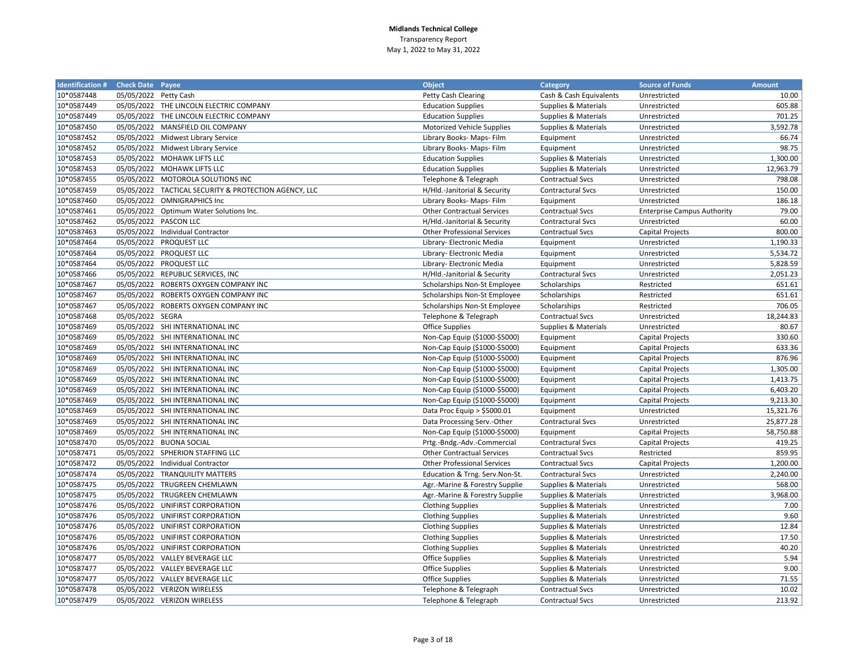| <b>Identification#</b> | <b>Check Date Payee</b> |                                                       | <b>Object</b>                      | <b>Category</b>          | <b>Source of Funds</b>             | <b>Amount</b> |
|------------------------|-------------------------|-------------------------------------------------------|------------------------------------|--------------------------|------------------------------------|---------------|
| 10*0587448             | 05/05/2022 Petty Cash   |                                                       | <b>Petty Cash Clearing</b>         | Cash & Cash Equivalents  | Unrestricted                       | 10.00         |
| 10*0587449             |                         | 05/05/2022 THE LINCOLN ELECTRIC COMPANY               | <b>Education Supplies</b>          | Supplies & Materials     | Unrestricted                       | 605.88        |
| 10*0587449             |                         | 05/05/2022 THE LINCOLN ELECTRIC COMPANY               | <b>Education Supplies</b>          | Supplies & Materials     | Unrestricted                       | 701.25        |
| 10*0587450             |                         | 05/05/2022 MANSFIELD OIL COMPANY                      | Motorized Vehicle Supplies         | Supplies & Materials     | Unrestricted                       | 3,592.78      |
| 10*0587452             |                         | 05/05/2022 Midwest Library Service                    | Library Books- Maps- Film          | Equipment                | Unrestricted                       | 66.74         |
| 10*0587452             |                         | 05/05/2022 Midwest Library Service                    | Library Books- Maps- Film          | Equipment                | Unrestricted                       | 98.75         |
| 10*0587453             |                         | 05/05/2022 MOHAWK LIFTS LLC                           | <b>Education Supplies</b>          | Supplies & Materials     | Unrestricted                       | 1,300.00      |
| 10*0587453             |                         | 05/05/2022 MOHAWK LIFTS LLC                           | <b>Education Supplies</b>          | Supplies & Materials     | Unrestricted                       | 12,963.79     |
| 10*0587455             |                         | 05/05/2022 MOTOROLA SOLUTIONS INC                     | Telephone & Telegraph              | <b>Contractual Svcs</b>  | Unrestricted                       | 798.08        |
| 10*0587459             |                         | 05/05/2022 TACTICAL SECURITY & PROTECTION AGENCY, LLC | H/Hld.-Janitorial & Security       | <b>Contractural Svcs</b> | Unrestricted                       | 150.00        |
| 10*0587460             |                         | 05/05/2022 OMNIGRAPHICS Inc                           | Library Books- Maps- Film          | Equipment                | Unrestricted                       | 186.18        |
| 10*0587461             |                         | 05/05/2022 Optimum Water Solutions Inc.               | <b>Other Contractual Services</b>  | <b>Contractual Svcs</b>  | <b>Enterprise Campus Authority</b> | 79.00         |
| 10*0587462             |                         | 05/05/2022 PASCON LLC                                 | H/Hld.-Janitorial & Security       | <b>Contractural Svcs</b> | Unrestricted                       | 60.00         |
| 10*0587463             |                         | 05/05/2022 Individual Contractor                      | <b>Other Professional Services</b> | <b>Contractual Svcs</b>  | Capital Projects                   | 800.00        |
| 10*0587464             |                         | 05/05/2022 PROQUEST LLC                               | Library- Electronic Media          | Equipment                | Unrestricted                       | 1,190.33      |
| 10*0587464             |                         | 05/05/2022 PROQUEST LLC                               | Library- Electronic Media          | Equipment                | Unrestricted                       | 5,534.72      |
| 10*0587464             |                         | 05/05/2022 PROQUEST LLC                               | Library- Electronic Media          | Equipment                | Unrestricted                       | 5,828.59      |
| 10*0587466             |                         | 05/05/2022 REPUBLIC SERVICES, INC                     | H/Hld.-Janitorial & Security       | <b>Contractural Svcs</b> | Unrestricted                       | 2,051.23      |
| 10*0587467             |                         | 05/05/2022 ROBERTS OXYGEN COMPANY INC                 | Scholarships Non-St Employee       | Scholarships             | Restricted                         | 651.61        |
| 10*0587467             |                         | 05/05/2022 ROBERTS OXYGEN COMPANY INC                 | Scholarships Non-St Employee       | Scholarships             | Restricted                         | 651.61        |
| 10*0587467             |                         | 05/05/2022 ROBERTS OXYGEN COMPANY INC                 | Scholarships Non-St Employee       | Scholarships             | Restricted                         | 706.05        |
| 10*0587468             | 05/05/2022 SEGRA        |                                                       | Telephone & Telegraph              | <b>Contractual Svcs</b>  | Unrestricted                       | 18,244.83     |
| 10*0587469             |                         | 05/05/2022 SHI INTERNATIONAL INC                      | <b>Office Supplies</b>             | Supplies & Materials     | Unrestricted                       | 80.67         |
| 10*0587469             |                         | 05/05/2022 SHI INTERNATIONAL INC                      | Non-Cap Equip (\$1000-\$5000)      | Equipment                | Capital Projects                   | 330.60        |
| 10*0587469             |                         | 05/05/2022 SHI INTERNATIONAL INC                      | Non-Cap Equip (\$1000-\$5000)      | Equipment                | <b>Capital Projects</b>            | 633.36        |
| 10*0587469             |                         | 05/05/2022 SHI INTERNATIONAL INC                      | Non-Cap Equip (\$1000-\$5000)      | Equipment                | Capital Projects                   | 876.96        |
| 10*0587469             |                         | 05/05/2022 SHI INTERNATIONAL INC                      | Non-Cap Equip (\$1000-\$5000)      | Equipment                | <b>Capital Projects</b>            | 1,305.00      |
| 10*0587469             |                         | 05/05/2022 SHI INTERNATIONAL INC                      | Non-Cap Equip (\$1000-\$5000)      | Equipment                | <b>Capital Projects</b>            | 1,413.75      |
| 10*0587469             |                         | 05/05/2022 SHI INTERNATIONAL INC                      | Non-Cap Equip (\$1000-\$5000)      | Equipment                | Capital Projects                   | 6,403.20      |
| 10*0587469             |                         | 05/05/2022 SHI INTERNATIONAL INC                      | Non-Cap Equip (\$1000-\$5000)      | Equipment                | Capital Projects                   | 9,213.30      |
| 10*0587469             |                         | 05/05/2022 SHI INTERNATIONAL INC                      | Data Proc Equip > \$5000.01        | Equipment                | Unrestricted                       | 15,321.76     |
| 10*0587469             |                         | 05/05/2022 SHI INTERNATIONAL INC                      | Data Processing Serv.-Other        | <b>Contractural Svcs</b> | Unrestricted                       | 25,877.28     |
| 10*0587469             |                         | 05/05/2022 SHI INTERNATIONAL INC                      | Non-Cap Equip (\$1000-\$5000)      | Equipment                | Capital Projects                   | 58,750.88     |
| 10*0587470             |                         | 05/05/2022 BUONA SOCIAL                               | Prtg.-Bndg.-Adv.-Commercial        | Contractural Svcs        | Capital Projects                   | 419.25        |
| 10*0587471             |                         | 05/05/2022 SPHERION STAFFING LLC                      | <b>Other Contractual Services</b>  | <b>Contractual Svcs</b>  | Restricted                         | 859.95        |
| 10*0587472             |                         | 05/05/2022 Individual Contractor                      | <b>Other Professional Services</b> | <b>Contractual Svcs</b>  | <b>Capital Projects</b>            | 1,200.00      |
| 10*0587474             |                         | 05/05/2022 TRANQUILITY MATTERS                        | Education & Trng. Serv.Non-St.     | <b>Contractural Svcs</b> | Unrestricted                       | 2,240.00      |
| 10*0587475             |                         | 05/05/2022 TRUGREEN CHEMLAWN                          | Agr.-Marine & Forestry Supplie     | Supplies & Materials     | Unrestricted                       | 568.00        |
| 10*0587475             |                         | 05/05/2022 TRUGREEN CHEMLAWN                          | Agr.-Marine & Forestry Supplie     | Supplies & Materials     | Unrestricted                       | 3,968.00      |
| 10*0587476             | 05/05/2022              | UNIFIRST CORPORATION                                  | <b>Clothing Supplies</b>           | Supplies & Materials     | Unrestricted                       | 7.00          |
| 10*0587476             | 05/05/2022              | UNIFIRST CORPORATION                                  | <b>Clothing Supplies</b>           | Supplies & Materials     | Unrestricted                       | 9.60          |
| 10*0587476             | 05/05/2022              | UNIFIRST CORPORATION                                  | <b>Clothing Supplies</b>           | Supplies & Materials     | Unrestricted                       | 12.84         |
| 10*0587476             | 05/05/2022              | UNIFIRST CORPORATION                                  | <b>Clothing Supplies</b>           | Supplies & Materials     | Unrestricted                       | 17.50         |
| 10*0587476             |                         | 05/05/2022 UNIFIRST CORPORATION                       | <b>Clothing Supplies</b>           | Supplies & Materials     | Unrestricted                       | 40.20         |
| 10*0587477             |                         | 05/05/2022 VALLEY BEVERAGE LLC                        | <b>Office Supplies</b>             | Supplies & Materials     | Unrestricted                       | 5.94          |
| 10*0587477             |                         | 05/05/2022 VALLEY BEVERAGE LLC                        | <b>Office Supplies</b>             | Supplies & Materials     | Unrestricted                       | 9.00          |
| 10*0587477             |                         | 05/05/2022 VALLEY BEVERAGE LLC                        | <b>Office Supplies</b>             | Supplies & Materials     | Unrestricted                       | 71.55         |
| 10*0587478             |                         | 05/05/2022 VERIZON WIRELESS                           | Telephone & Telegraph              | <b>Contractual Svcs</b>  | Unrestricted                       | 10.02         |
| 10*0587479             |                         | 05/05/2022 VERIZON WIRELESS                           | Telephone & Telegraph              | <b>Contractual Svcs</b>  | Unrestricted                       | 213.92        |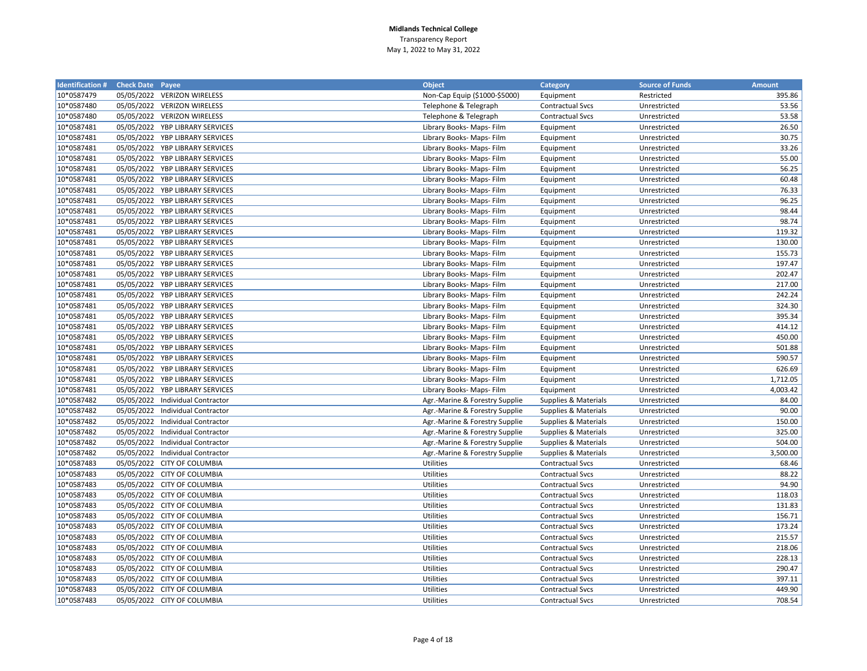| <b>Identification # Check Date Payee</b> |            |                                  | <b>Object</b>                  | Category                | <b>Source of Funds</b> | <b>Amount</b> |
|------------------------------------------|------------|----------------------------------|--------------------------------|-------------------------|------------------------|---------------|
| 10*0587479                               |            | 05/05/2022 VERIZON WIRELESS      | Non-Cap Equip (\$1000-\$5000)  | Equipment               | Restricted             | 395.86        |
| 10*0587480                               |            | 05/05/2022 VERIZON WIRELESS      | Telephone & Telegraph          | <b>Contractual Svcs</b> | Unrestricted           | 53.56         |
| 10*0587480                               |            | 05/05/2022 VERIZON WIRELESS      | Telephone & Telegraph          | <b>Contractual Svcs</b> | Unrestricted           | 53.58         |
| 10*0587481                               |            | 05/05/2022 YBP LIBRARY SERVICES  | Library Books- Maps- Film      | Equipment               | Unrestricted           | 26.50         |
| 10*0587481                               |            | 05/05/2022 YBP LIBRARY SERVICES  | Library Books- Maps- Film      | Equipment               | Unrestricted           | 30.75         |
| 10*0587481                               |            | 05/05/2022 YBP LIBRARY SERVICES  | Library Books- Maps- Film      | Equipment               | Unrestricted           | 33.26         |
| 10*0587481                               |            | 05/05/2022 YBP LIBRARY SERVICES  | Library Books- Maps- Film      | Equipment               | Unrestricted           | 55.00         |
| 10*0587481                               |            | 05/05/2022 YBP LIBRARY SERVICES  | Library Books- Maps- Film      | Equipment               | Unrestricted           | 56.25         |
| 10*0587481                               |            | 05/05/2022 YBP LIBRARY SERVICES  | Library Books- Maps- Film      | Equipment               | Unrestricted           | 60.48         |
| 10*0587481                               |            | 05/05/2022 YBP LIBRARY SERVICES  | Library Books- Maps- Film      | Equipment               | Unrestricted           | 76.33         |
| 10*0587481                               |            | 05/05/2022 YBP LIBRARY SERVICES  | Library Books- Maps- Film      | Equipment               | Unrestricted           | 96.25         |
| 10*0587481                               |            | 05/05/2022 YBP LIBRARY SERVICES  | Library Books- Maps- Film      | Equipment               | Unrestricted           | 98.44         |
| 10*0587481                               |            | 05/05/2022 YBP LIBRARY SERVICES  | Library Books- Maps- Film      | Equipment               | Unrestricted           | 98.74         |
| 10*0587481                               |            | 05/05/2022 YBP LIBRARY SERVICES  | Library Books- Maps- Film      | Equipment               | Unrestricted           | 119.32        |
| 10*0587481                               |            | 05/05/2022 YBP LIBRARY SERVICES  | Library Books- Maps- Film      | Equipment               | Unrestricted           | 130.00        |
| 10*0587481                               | 05/05/2022 | YBP LIBRARY SERVICES             | Library Books- Maps- Film      | Equipment               | Unrestricted           | 155.73        |
| 10*0587481                               |            | 05/05/2022 YBP LIBRARY SERVICES  | Library Books- Maps- Film      | Equipment               | Unrestricted           | 197.47        |
| 10*0587481                               |            | 05/05/2022 YBP LIBRARY SERVICES  | Library Books- Maps- Film      | Equipment               | Unrestricted           | 202.47        |
| 10*0587481                               | 05/05/2022 | YBP LIBRARY SERVICES             | Library Books- Maps- Film      | Equipment               | Unrestricted           | 217.00        |
| 10*0587481                               | 05/05/2022 | YBP LIBRARY SERVICES             | Library Books- Maps- Film      | Equipment               | Unrestricted           | 242.24        |
| 10*0587481                               | 05/05/2022 | YBP LIBRARY SERVICES             | Library Books- Maps- Film      | Equipment               | Unrestricted           | 324.30        |
| 10*0587481                               | 05/05/2022 | YBP LIBRARY SERVICES             | Library Books- Maps- Film      | Equipment               | Unrestricted           | 395.34        |
| 10*0587481                               | 05/05/2022 | YBP LIBRARY SERVICES             | Library Books- Maps- Film      | Equipment               | Unrestricted           | 414.12        |
| 10*0587481                               | 05/05/2022 | YBP LIBRARY SERVICES             | Library Books- Maps- Film      | Equipment               | Unrestricted           | 450.00        |
| 10*0587481                               |            | 05/05/2022 YBP LIBRARY SERVICES  | Library Books- Maps- Film      | Equipment               | Unrestricted           | 501.88        |
| 10*0587481                               | 05/05/2022 | YBP LIBRARY SERVICES             | Library Books- Maps- Film      | Equipment               | Unrestricted           | 590.57        |
| 10*0587481                               | 05/05/2022 | YBP LIBRARY SERVICES             | Library Books- Maps- Film      | Equipment               | Unrestricted           | 626.69        |
| 10*0587481                               |            | 05/05/2022 YBP LIBRARY SERVICES  | Library Books- Maps- Film      | Equipment               | Unrestricted           | 1,712.05      |
| 10*0587481                               | 05/05/2022 | YBP LIBRARY SERVICES             | Library Books- Maps- Film      | Equipment               | Unrestricted           | 4,003.42      |
| 10*0587482                               |            | 05/05/2022 Individual Contractor | Agr.-Marine & Forestry Supplie | Supplies & Materials    | Unrestricted           | 84.00         |
| 10*0587482                               |            | 05/05/2022 Individual Contractor | Agr.-Marine & Forestry Supplie | Supplies & Materials    | Unrestricted           | 90.00         |
| 10*0587482                               |            | 05/05/2022 Individual Contractor | Agr.-Marine & Forestry Supplie | Supplies & Materials    | Unrestricted           | 150.00        |
| 10*0587482                               |            | 05/05/2022 Individual Contractor | Agr.-Marine & Forestry Supplie | Supplies & Materials    | Unrestricted           | 325.00        |
| 10*0587482                               |            | 05/05/2022 Individual Contractor | Agr.-Marine & Forestry Supplie | Supplies & Materials    | Unrestricted           | 504.00        |
| 10*0587482                               |            | 05/05/2022 Individual Contractor | Agr.-Marine & Forestry Supplie | Supplies & Materials    | Unrestricted           | 3,500.00      |
| 10*0587483                               |            | 05/05/2022 CITY OF COLUMBIA      | <b>Utilities</b>               | <b>Contractual Svcs</b> | Unrestricted           | 68.46         |
| 10*0587483                               |            | 05/05/2022 CITY OF COLUMBIA      | <b>Utilities</b>               | <b>Contractual Svcs</b> | Unrestricted           | 88.22         |
| 10*0587483                               |            | 05/05/2022 CITY OF COLUMBIA      | Utilities                      | <b>Contractual Svcs</b> | Unrestricted           | 94.90         |
| 10*0587483                               |            | 05/05/2022 CITY OF COLUMBIA      | Utilities                      | <b>Contractual Svcs</b> | Unrestricted           | 118.03        |
| 10*0587483                               |            | 05/05/2022 CITY OF COLUMBIA      | Utilities                      | Contractual Svcs        | Unrestricted           | 131.83        |
| 10*0587483                               |            | 05/05/2022 CITY OF COLUMBIA      | Utilities                      | <b>Contractual Svcs</b> | Unrestricted           | 156.71        |
| 10*0587483                               |            | 05/05/2022 CITY OF COLUMBIA      | Utilities                      | <b>Contractual Svcs</b> | Unrestricted           | 173.24        |
| 10*0587483                               |            | 05/05/2022 CITY OF COLUMBIA      | Utilities                      | <b>Contractual Svcs</b> | Unrestricted           | 215.57        |
| 10*0587483                               |            | 05/05/2022 CITY OF COLUMBIA      | Utilities                      | <b>Contractual Svcs</b> | Unrestricted           | 218.06        |
| 10*0587483                               |            | 05/05/2022 CITY OF COLUMBIA      | Utilities                      | <b>Contractual Svcs</b> | Unrestricted           | 228.13        |
| 10*0587483                               |            | 05/05/2022 CITY OF COLUMBIA      | Utilities                      | <b>Contractual Svcs</b> | Unrestricted           | 290.47        |
| 10*0587483                               |            | 05/05/2022 CITY OF COLUMBIA      | Utilities                      | <b>Contractual Svcs</b> | Unrestricted           | 397.11        |
| 10*0587483                               |            | 05/05/2022 CITY OF COLUMBIA      | <b>Utilities</b>               | <b>Contractual Svcs</b> | Unrestricted           | 449.90        |
| 10*0587483                               |            | 05/05/2022 CITY OF COLUMBIA      | <b>Utilities</b>               | <b>Contractual Svcs</b> | Unrestricted           | 708.54        |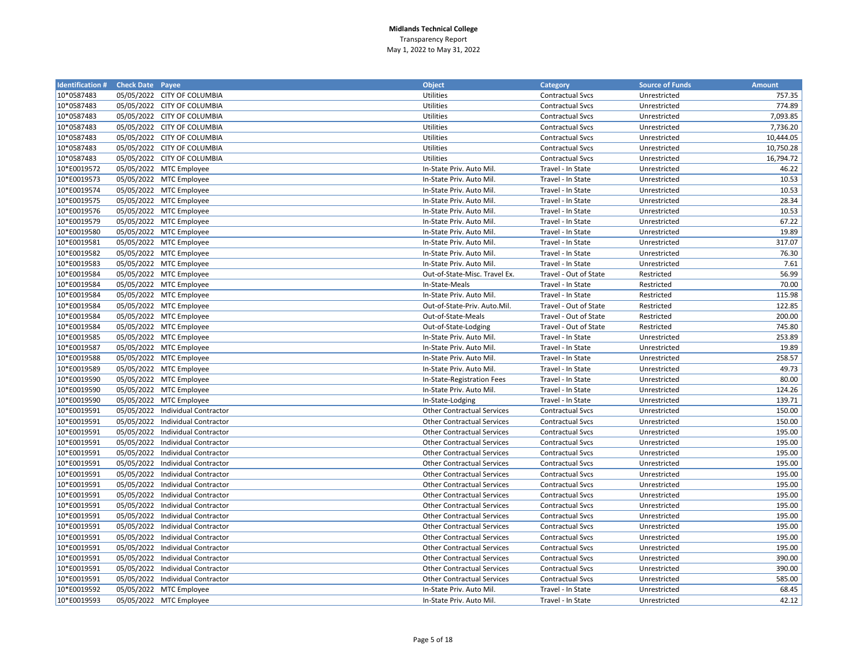| <b>Identification # Check Date Payee</b> |                                  | <b>Object</b>                     | Category                | <b>Source of Funds</b> | <b>Amount</b> |
|------------------------------------------|----------------------------------|-----------------------------------|-------------------------|------------------------|---------------|
| 10*0587483                               | 05/05/2022 CITY OF COLUMBIA      | Utilities                         | <b>Contractual Svcs</b> | Unrestricted           | 757.35        |
| 10*0587483                               | 05/05/2022 CITY OF COLUMBIA      | Utilities                         | <b>Contractual Svcs</b> | Unrestricted           | 774.89        |
| 10*0587483                               | 05/05/2022 CITY OF COLUMBIA      | Utilities                         | <b>Contractual Svcs</b> | Unrestricted           | 7,093.85      |
| 10*0587483                               | 05/05/2022 CITY OF COLUMBIA      | Utilities                         | <b>Contractual Svcs</b> | Unrestricted           | 7,736.20      |
| 10*0587483                               | 05/05/2022 CITY OF COLUMBIA      | Utilities                         | <b>Contractual Svcs</b> | Unrestricted           | 10,444.05     |
| 10*0587483                               | 05/05/2022 CITY OF COLUMBIA      | Utilities                         | <b>Contractual Svcs</b> | Unrestricted           | 10,750.28     |
| 10*0587483                               | 05/05/2022 CITY OF COLUMBIA      | Utilities                         | <b>Contractual Svcs</b> | Unrestricted           | 16,794.72     |
| 10*E0019572                              | 05/05/2022 MTC Employee          | In-State Priv. Auto Mil.          | Travel - In State       | Unrestricted           | 46.22         |
| 10*E0019573                              | 05/05/2022 MTC Employee          | In-State Priv. Auto Mil.          | Travel - In State       | Unrestricted           | 10.53         |
| 10*E0019574                              | 05/05/2022 MTC Employee          | In-State Priv. Auto Mil.          | Travel - In State       | Unrestricted           | 10.53         |
| 10*E0019575                              | 05/05/2022 MTC Employee          | In-State Priv. Auto Mil.          | Travel - In State       | Unrestricted           | 28.34         |
| 10*E0019576                              | 05/05/2022 MTC Employee          | In-State Priv. Auto Mil.          | Travel - In State       | Unrestricted           | 10.53         |
| 10*E0019579                              | 05/05/2022 MTC Employee          | In-State Priv. Auto Mil.          | Travel - In State       | Unrestricted           | 67.22         |
| 10*E0019580                              | 05/05/2022 MTC Employee          | In-State Priv. Auto Mil.          | Travel - In State       | Unrestricted           | 19.89         |
| 10*E0019581                              | 05/05/2022 MTC Employee          | In-State Priv. Auto Mil.          | Travel - In State       | Unrestricted           | 317.07        |
| 10*E0019582                              | 05/05/2022 MTC Employee          | In-State Priv. Auto Mil.          | Travel - In State       | Unrestricted           | 76.30         |
| 10*E0019583                              | 05/05/2022 MTC Employee          | In-State Priv. Auto Mil.          | Travel - In State       | Unrestricted           | 7.61          |
| 10*E0019584                              | 05/05/2022 MTC Employee          | Out-of-State-Misc. Travel Ex.     | Travel - Out of State   | Restricted             | 56.99         |
| 10*E0019584                              | 05/05/2022 MTC Employee          | In-State-Meals                    | Travel - In State       | Restricted             | 70.00         |
| 10*E0019584                              | 05/05/2022 MTC Employee          | In-State Priv. Auto Mil.          | Travel - In State       | Restricted             | 115.98        |
| 10*E0019584                              | 05/05/2022 MTC Employee          | Out-of-State-Priv. Auto.Mil.      | Travel - Out of State   | Restricted             | 122.85        |
| 10*E0019584                              | 05/05/2022 MTC Employee          | Out-of-State-Meals                | Travel - Out of State   | Restricted             | 200.00        |
| 10*E0019584                              | 05/05/2022 MTC Employee          | Out-of-State-Lodging              | Travel - Out of State   | Restricted             | 745.80        |
| 10*E0019585                              | 05/05/2022 MTC Employee          | In-State Priv. Auto Mil.          | Travel - In State       | Unrestricted           | 253.89        |
| 10*E0019587                              | 05/05/2022 MTC Employee          | In-State Priv. Auto Mil.          | Travel - In State       | Unrestricted           | 19.89         |
| 10*E0019588                              | 05/05/2022 MTC Employee          | In-State Priv. Auto Mil.          | Travel - In State       | Unrestricted           | 258.57        |
| 10*E0019589                              | 05/05/2022 MTC Employee          | In-State Priv. Auto Mil.          | Travel - In State       | Unrestricted           | 49.73         |
| 10*E0019590                              | 05/05/2022 MTC Employee          | In-State-Registration Fees        | Travel - In State       | Unrestricted           | 80.00         |
| 10*E0019590                              | 05/05/2022 MTC Employee          | In-State Priv. Auto Mil.          | Travel - In State       | Unrestricted           | 124.26        |
| 10*E0019590                              | 05/05/2022 MTC Employee          | In-State-Lodging                  | Travel - In State       | Unrestricted           | 139.71        |
| 10*E0019591                              | 05/05/2022 Individual Contractor | <b>Other Contractual Services</b> | <b>Contractual Svcs</b> | Unrestricted           | 150.00        |
| 10*E0019591                              | 05/05/2022 Individual Contractor | <b>Other Contractual Services</b> | <b>Contractual Svcs</b> | Unrestricted           | 150.00        |
| 10*E0019591                              | 05/05/2022 Individual Contractor | <b>Other Contractual Services</b> | <b>Contractual Svcs</b> | Unrestricted           | 195.00        |
| 10*E0019591                              | 05/05/2022 Individual Contractor | <b>Other Contractual Services</b> | <b>Contractual Svcs</b> | Unrestricted           | 195.00        |
| 10*E0019591                              | 05/05/2022 Individual Contractor | <b>Other Contractual Services</b> | <b>Contractual Svcs</b> | Unrestricted           | 195.00        |
| 10*E0019591                              | 05/05/2022 Individual Contractor | <b>Other Contractual Services</b> | <b>Contractual Svcs</b> | Unrestricted           | 195.00        |
| 10*E0019591                              | 05/05/2022 Individual Contractor | <b>Other Contractual Services</b> | <b>Contractual Svcs</b> | Unrestricted           | 195.00        |
| 10*E0019591                              | 05/05/2022 Individual Contractor | <b>Other Contractual Services</b> | <b>Contractual Svcs</b> | Unrestricted           | 195.00        |
| 10*E0019591                              | 05/05/2022 Individual Contractor | <b>Other Contractual Services</b> | <b>Contractual Svcs</b> | Unrestricted           | 195.00        |
| 10*E0019591                              | 05/05/2022 Individual Contractor | <b>Other Contractual Services</b> | <b>Contractual Svcs</b> | Unrestricted           | 195.00        |
| 10*E0019591                              | 05/05/2022 Individual Contractor | <b>Other Contractual Services</b> | <b>Contractual Svcs</b> | Unrestricted           | 195.00        |
| 10*E0019591                              | 05/05/2022 Individual Contractor | <b>Other Contractual Services</b> | <b>Contractual Svcs</b> | Unrestricted           | 195.00        |
| 10*E0019591                              | 05/05/2022 Individual Contractor | <b>Other Contractual Services</b> | <b>Contractual Svcs</b> | Unrestricted           | 195.00        |
| 10*E0019591                              | 05/05/2022 Individual Contractor | <b>Other Contractual Services</b> | <b>Contractual Svcs</b> | Unrestricted           | 195.00        |
| 10*E0019591                              | 05/05/2022 Individual Contractor | <b>Other Contractual Services</b> | <b>Contractual Svcs</b> | Unrestricted           | 390.00        |
| 10*E0019591                              | 05/05/2022 Individual Contractor | <b>Other Contractual Services</b> | <b>Contractual Svcs</b> | Unrestricted           | 390.00        |
| 10*E0019591                              | 05/05/2022 Individual Contractor | <b>Other Contractual Services</b> | Contractual Svcs        | Unrestricted           | 585.00        |
| 10*E0019592                              | 05/05/2022 MTC Employee          | In-State Priv. Auto Mil.          | Travel - In State       | Unrestricted           | 68.45         |
| 10*E0019593                              | 05/05/2022 MTC Employee          | In-State Priv. Auto Mil.          | Travel - In State       | Unrestricted           | 42.12         |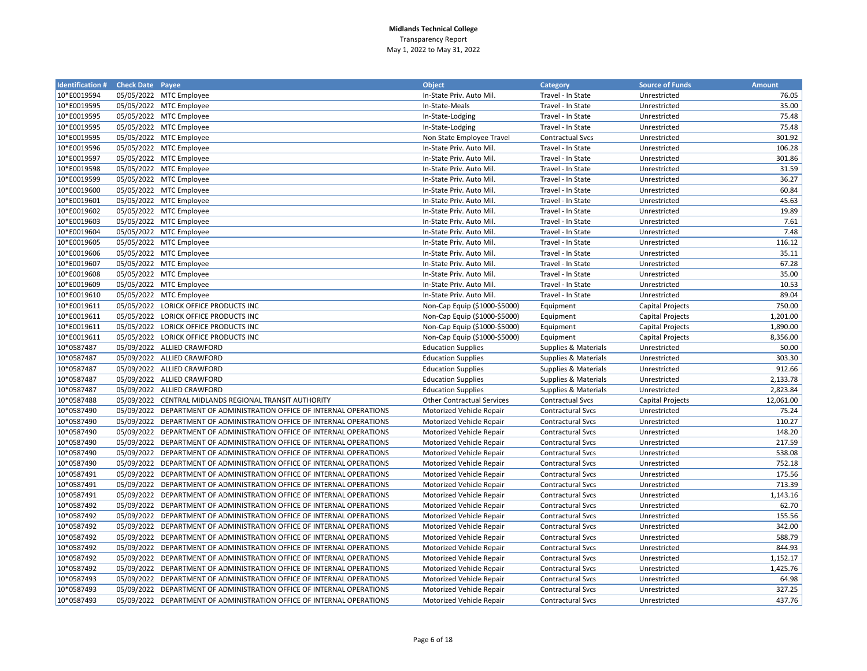| <b>Identification # Check Date Payee</b> |            |                                                                       | <b>Object</b>                     | <b>Category</b>          | <b>Source of Funds</b>  | <b>Amount</b> |
|------------------------------------------|------------|-----------------------------------------------------------------------|-----------------------------------|--------------------------|-------------------------|---------------|
| 10*E0019594                              |            | 05/05/2022 MTC Employee                                               | In-State Priv. Auto Mil.          | Travel - In State        | Unrestricted            | 76.05         |
| 10*E0019595                              |            | 05/05/2022 MTC Employee                                               | In-State-Meals                    | Travel - In State        | Unrestricted            | 35.00         |
| 10*E0019595                              |            | 05/05/2022 MTC Employee                                               | In-State-Lodging                  | Travel - In State        | Unrestricted            | 75.48         |
| 10*E0019595                              |            | 05/05/2022 MTC Employee                                               | In-State-Lodging                  | Travel - In State        | Unrestricted            | 75.48         |
| 10*E0019595                              |            | 05/05/2022 MTC Employee                                               | Non State Employee Travel         | <b>Contractual Svcs</b>  | Unrestricted            | 301.92        |
| 10*E0019596                              |            | 05/05/2022 MTC Employee                                               | In-State Priv. Auto Mil.          | Travel - In State        | Unrestricted            | 106.28        |
| 10*E0019597                              |            | 05/05/2022 MTC Employee                                               | In-State Priv. Auto Mil.          | Travel - In State        | Unrestricted            | 301.86        |
| 10*E0019598                              |            | 05/05/2022 MTC Employee                                               | In-State Priv. Auto Mil.          | Travel - In State        | Unrestricted            | 31.59         |
| 10*E0019599                              |            | 05/05/2022 MTC Employee                                               | In-State Priv. Auto Mil.          | Travel - In State        | Unrestricted            | 36.27         |
| 10*E0019600                              |            | 05/05/2022 MTC Employee                                               | In-State Priv. Auto Mil.          | Travel - In State        | Unrestricted            | 60.84         |
| 10*E0019601                              |            | 05/05/2022 MTC Employee                                               | In-State Priv. Auto Mil.          | Travel - In State        | Unrestricted            | 45.63         |
| 10*E0019602                              |            | 05/05/2022 MTC Employee                                               | In-State Priv. Auto Mil.          | Travel - In State        | Unrestricted            | 19.89         |
| 10*E0019603                              |            | 05/05/2022 MTC Employee                                               | In-State Priv. Auto Mil.          | Travel - In State        | Unrestricted            | 7.61          |
| 10*E0019604                              |            | 05/05/2022 MTC Employee                                               | In-State Priv. Auto Mil.          | Travel - In State        | Unrestricted            | 7.48          |
| 10*E0019605                              |            | 05/05/2022 MTC Employee                                               | In-State Priv. Auto Mil.          | Travel - In State        | Unrestricted            | 116.12        |
| 10*E0019606                              |            | 05/05/2022 MTC Employee                                               | In-State Priv. Auto Mil.          | Travel - In State        | Unrestricted            | 35.11         |
| 10*E0019607                              |            | 05/05/2022 MTC Employee                                               | In-State Priv. Auto Mil.          | Travel - In State        | Unrestricted            | 67.28         |
| 10*E0019608                              |            | 05/05/2022 MTC Employee                                               | In-State Priv. Auto Mil.          | Travel - In State        | Unrestricted            | 35.00         |
| 10*E0019609                              |            | 05/05/2022 MTC Employee                                               | In-State Priv. Auto Mil.          | Travel - In State        | Unrestricted            | 10.53         |
| 10*E0019610                              |            | 05/05/2022 MTC Employee                                               | In-State Priv. Auto Mil.          | Travel - In State        | Unrestricted            | 89.04         |
| 10*E0019611                              |            | 05/05/2022 LORICK OFFICE PRODUCTS INC                                 | Non-Cap Equip (\$1000-\$5000)     | Equipment                | Capital Projects        | 750.00        |
| 10*E0019611                              |            | 05/05/2022 LORICK OFFICE PRODUCTS INC                                 | Non-Cap Equip (\$1000-\$5000)     | Equipment                | <b>Capital Projects</b> | 1,201.00      |
| 10*E0019611                              |            | 05/05/2022 LORICK OFFICE PRODUCTS INC                                 | Non-Cap Equip (\$1000-\$5000)     | Equipment                | Capital Projects        | 1,890.00      |
| 10*E0019611                              |            | 05/05/2022 LORICK OFFICE PRODUCTS INC                                 | Non-Cap Equip (\$1000-\$5000)     | Equipment                | <b>Capital Projects</b> | 8,356.00      |
| 10*0587487                               |            | 05/09/2022 ALLIED CRAWFORD                                            | <b>Education Supplies</b>         | Supplies & Materials     | Unrestricted            | 50.00         |
| 10*0587487                               |            | 05/09/2022 ALLIED CRAWFORD                                            | <b>Education Supplies</b>         | Supplies & Materials     | Unrestricted            | 303.30        |
| 10*0587487                               |            | 05/09/2022 ALLIED CRAWFORD                                            | <b>Education Supplies</b>         | Supplies & Materials     | Unrestricted            | 912.66        |
| 10*0587487                               |            | 05/09/2022 ALLIED CRAWFORD                                            | <b>Education Supplies</b>         | Supplies & Materials     | Unrestricted            | 2,133.78      |
| 10*0587487                               |            | 05/09/2022 ALLIED CRAWFORD                                            | <b>Education Supplies</b>         | Supplies & Materials     | Unrestricted            | 2,823.84      |
| 10*0587488                               |            | 05/09/2022 CENTRAL MIDLANDS REGIONAL TRANSIT AUTHORITY                | <b>Other Contractual Services</b> | <b>Contractual Svcs</b>  | Capital Projects        | 12,061.00     |
| 10*0587490                               |            | 05/09/2022 DEPARTMENT OF ADMINISTRATION OFFICE OF INTERNAL OPERATIONS | Motorized Vehicle Repair          | <b>Contractural Svcs</b> | Unrestricted            | 75.24         |
| 10*0587490                               |            | 05/09/2022 DEPARTMENT OF ADMINISTRATION OFFICE OF INTERNAL OPERATIONS | Motorized Vehicle Repair          | <b>Contractural Svcs</b> | Unrestricted            | 110.27        |
| 10*0587490                               | 05/09/2022 | DEPARTMENT OF ADMINISTRATION OFFICE OF INTERNAL OPERATIONS            | Motorized Vehicle Repair          | <b>Contractural Svcs</b> | Unrestricted            | 148.20        |
| 10*0587490                               |            | 05/09/2022 DEPARTMENT OF ADMINISTRATION OFFICE OF INTERNAL OPERATIONS | Motorized Vehicle Repair          | <b>Contractural Svcs</b> | Unrestricted            | 217.59        |
| 10*0587490                               |            | 05/09/2022 DEPARTMENT OF ADMINISTRATION OFFICE OF INTERNAL OPERATIONS | Motorized Vehicle Repair          | <b>Contractural Svcs</b> | Unrestricted            | 538.08        |
| 10*0587490                               |            | 05/09/2022 DEPARTMENT OF ADMINISTRATION OFFICE OF INTERNAL OPERATIONS | Motorized Vehicle Repair          | <b>Contractural Svcs</b> | Unrestricted            | 752.18        |
| 10*0587491                               |            | 05/09/2022 DEPARTMENT OF ADMINISTRATION OFFICE OF INTERNAL OPERATIONS | Motorized Vehicle Repair          | Contractural Svcs        | Unrestricted            | 175.56        |
| 10*0587491                               |            | 05/09/2022 DEPARTMENT OF ADMINISTRATION OFFICE OF INTERNAL OPERATIONS | Motorized Vehicle Repair          | Contractural Svcs        | Unrestricted            | 713.39        |
| 10*0587491                               | 05/09/2022 | DEPARTMENT OF ADMINISTRATION OFFICE OF INTERNAL OPERATIONS            | Motorized Vehicle Repair          | Contractural Svcs        | Unrestricted            | 1,143.16      |
| 10*0587492                               |            | 05/09/2022 DEPARTMENT OF ADMINISTRATION OFFICE OF INTERNAL OPERATIONS | Motorized Vehicle Repair          | Contractural Svcs        | Unrestricted            | 62.70         |
| 10*0587492                               |            | 05/09/2022 DEPARTMENT OF ADMINISTRATION OFFICE OF INTERNAL OPERATIONS | Motorized Vehicle Repair          | Contractural Svcs        | Unrestricted            | 155.56        |
| 10*0587492                               | 05/09/2022 | DEPARTMENT OF ADMINISTRATION OFFICE OF INTERNAL OPERATIONS            | Motorized Vehicle Repair          | <b>Contractural Svcs</b> | Unrestricted            | 342.00        |
| 10*0587492                               | 05/09/2022 | DEPARTMENT OF ADMINISTRATION OFFICE OF INTERNAL OPERATIONS            | Motorized Vehicle Repair          | Contractural Svcs        | Unrestricted            | 588.79        |
| 10*0587492                               | 05/09/2022 | DEPARTMENT OF ADMINISTRATION OFFICE OF INTERNAL OPERATIONS            | Motorized Vehicle Repair          | <b>Contractural Svcs</b> | Unrestricted            | 844.93        |
| 10*0587492                               |            | 05/09/2022 DEPARTMENT OF ADMINISTRATION OFFICE OF INTERNAL OPERATIONS | Motorized Vehicle Repair          | Contractural Svcs        | Unrestricted            | 1,152.17      |
| 10*0587492                               | 05/09/2022 | DEPARTMENT OF ADMINISTRATION OFFICE OF INTERNAL OPERATIONS            | Motorized Vehicle Repair          | Contractural Svcs        | Unrestricted            | 1,425.76      |
| 10*0587493                               | 05/09/2022 | DEPARTMENT OF ADMINISTRATION OFFICE OF INTERNAL OPERATIONS            | Motorized Vehicle Repair          | Contractural Svcs        | Unrestricted            | 64.98         |
| 10*0587493                               |            | 05/09/2022 DEPARTMENT OF ADMINISTRATION OFFICE OF INTERNAL OPERATIONS | Motorized Vehicle Repair          | <b>Contractural Svcs</b> | Unrestricted            | 327.25        |
| 10*0587493                               |            | 05/09/2022 DEPARTMENT OF ADMINISTRATION OFFICE OF INTERNAL OPERATIONS | Motorized Vehicle Repair          | Contractural Svcs        | Unrestricted            | 437.76        |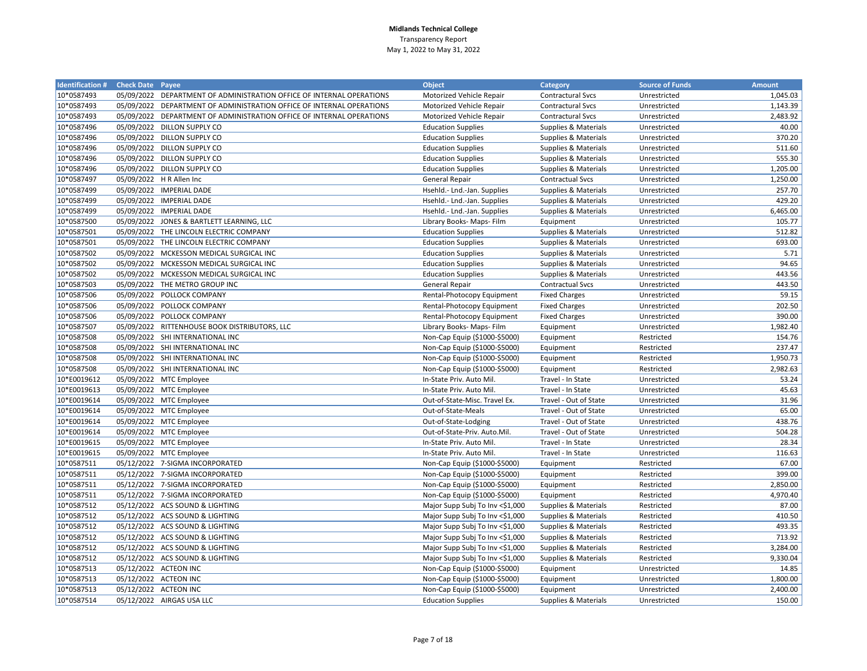| <b>Identification # Check Date Payee</b> |                                                                       | <b>Object</b>                   | Category                 | <b>Source of Funds</b> | <b>Amount</b> |
|------------------------------------------|-----------------------------------------------------------------------|---------------------------------|--------------------------|------------------------|---------------|
| 10*0587493                               | 05/09/2022 DEPARTMENT OF ADMINISTRATION OFFICE OF INTERNAL OPERATIONS | Motorized Vehicle Repair        | Contractural Svcs        | Unrestricted           | 1,045.03      |
| 10*0587493                               | 05/09/2022 DEPARTMENT OF ADMINISTRATION OFFICE OF INTERNAL OPERATIONS | Motorized Vehicle Repair        | <b>Contractural Svcs</b> | Unrestricted           | 1,143.39      |
| 10*0587493                               | 05/09/2022 DEPARTMENT OF ADMINISTRATION OFFICE OF INTERNAL OPERATIONS | Motorized Vehicle Repair        | <b>Contractural Svcs</b> | Unrestricted           | 2,483.92      |
| 10*0587496                               | 05/09/2022 DILLON SUPPLY CO                                           | <b>Education Supplies</b>       | Supplies & Materials     | Unrestricted           | 40.00         |
| 10*0587496                               | 05/09/2022 DILLON SUPPLY CO                                           | <b>Education Supplies</b>       | Supplies & Materials     | Unrestricted           | 370.20        |
| 10*0587496                               | 05/09/2022 DILLON SUPPLY CO                                           | <b>Education Supplies</b>       | Supplies & Materials     | Unrestricted           | 511.60        |
| 10*0587496                               | 05/09/2022 DILLON SUPPLY CO                                           | <b>Education Supplies</b>       | Supplies & Materials     | Unrestricted           | 555.30        |
| 10*0587496                               | 05/09/2022 DILLON SUPPLY CO                                           | <b>Education Supplies</b>       | Supplies & Materials     | Unrestricted           | 1,205.00      |
| 10*0587497                               | 05/09/2022 H R Allen Inc                                              | <b>General Repair</b>           | <b>Contractual Svcs</b>  | Unrestricted           | 1,250.00      |
| 10*0587499                               | 05/09/2022 IMPERIAL DADE                                              | Hsehld.- Lnd.-Jan. Supplies     | Supplies & Materials     | Unrestricted           | 257.70        |
| 10*0587499                               | 05/09/2022 IMPERIAL DADE                                              | Hsehld.- Lnd.-Jan. Supplies     | Supplies & Materials     | Unrestricted           | 429.20        |
| 10*0587499                               | 05/09/2022 IMPERIAL DADE                                              | Hsehld.- Lnd.-Jan. Supplies     | Supplies & Materials     | Unrestricted           | 6,465.00      |
| 10*0587500                               | 05/09/2022 JONES & BARTLETT LEARNING, LLC                             | Library Books- Maps- Film       | Equipment                | Unrestricted           | 105.77        |
| 10*0587501                               | 05/09/2022 THE LINCOLN ELECTRIC COMPANY                               | <b>Education Supplies</b>       | Supplies & Materials     | Unrestricted           | 512.82        |
| 10*0587501                               | 05/09/2022 THE LINCOLN ELECTRIC COMPANY                               | <b>Education Supplies</b>       | Supplies & Materials     | Unrestricted           | 693.00        |
| 10*0587502                               | 05/09/2022 MCKESSON MEDICAL SURGICAL INC                              | <b>Education Supplies</b>       | Supplies & Materials     | Unrestricted           | 5.71          |
| 10*0587502                               | 05/09/2022 MCKESSON MEDICAL SURGICAL INC                              | <b>Education Supplies</b>       | Supplies & Materials     | Unrestricted           | 94.65         |
| 10*0587502                               | 05/09/2022 MCKESSON MEDICAL SURGICAL INC                              | <b>Education Supplies</b>       | Supplies & Materials     | Unrestricted           | 443.56        |
| 10*0587503                               | 05/09/2022 THE METRO GROUP INC                                        | General Repair                  | <b>Contractual Svcs</b>  | Unrestricted           | 443.50        |
| 10*0587506                               | 05/09/2022 POLLOCK COMPANY                                            | Rental-Photocopy Equipment      | <b>Fixed Charges</b>     | Unrestricted           | 59.15         |
| 10*0587506                               | 05/09/2022 POLLOCK COMPANY                                            | Rental-Photocopy Equipment      | <b>Fixed Charges</b>     | Unrestricted           | 202.50        |
| 10*0587506                               | 05/09/2022 POLLOCK COMPANY                                            | Rental-Photocopy Equipment      | <b>Fixed Charges</b>     | Unrestricted           | 390.00        |
| 10*0587507                               | 05/09/2022 RITTENHOUSE BOOK DISTRIBUTORS, LLC                         | Library Books- Maps- Film       | Equipment                | Unrestricted           | 1,982.40      |
| 10*0587508                               | 05/09/2022 SHI INTERNATIONAL INC                                      | Non-Cap Equip (\$1000-\$5000)   | Equipment                | Restricted             | 154.76        |
| 10*0587508                               | 05/09/2022 SHI INTERNATIONAL INC                                      | Non-Cap Equip (\$1000-\$5000)   | Equipment                | Restricted             | 237.47        |
| 10*0587508                               | 05/09/2022 SHI INTERNATIONAL INC                                      | Non-Cap Equip (\$1000-\$5000)   | Equipment                | Restricted             | 1,950.73      |
| 10*0587508                               | 05/09/2022 SHI INTERNATIONAL INC                                      | Non-Cap Equip (\$1000-\$5000)   | Equipment                | Restricted             | 2,982.63      |
| 10*E0019612                              | 05/09/2022 MTC Employee                                               | In-State Priv. Auto Mil         | Travel - In State        | Unrestricted           | 53.24         |
| 10*E0019613                              | 05/09/2022 MTC Employee                                               | In-State Priv. Auto Mil         | Travel - In State        | Unrestricted           | 45.63         |
| 10*E0019614                              | 05/09/2022 MTC Employee                                               | Out-of-State-Misc. Travel Ex.   | Travel - Out of State    | Unrestricted           | 31.96         |
| 10*E0019614                              | 05/09/2022 MTC Employee                                               | Out-of-State-Meals              | Travel - Out of State    | Unrestricted           | 65.00         |
| 10*E0019614                              | 05/09/2022 MTC Employee                                               | Out-of-State-Lodging            | Travel - Out of State    | Unrestricted           | 438.76        |
| 10*E0019614                              | 05/09/2022 MTC Employee                                               | Out-of-State-Priv. Auto.Mil.    | Travel - Out of State    | Unrestricted           | 504.28        |
| 10*E0019615                              | 05/09/2022 MTC Employee                                               | In-State Priv. Auto Mil         | Travel - In State        | Unrestricted           | 28.34         |
| 10*E0019615                              | 05/09/2022 MTC Employee                                               | In-State Priv. Auto Mil.        | Travel - In State        | Unrestricted           | 116.63        |
| 10*0587511                               | 05/12/2022 7-SIGMA INCORPORATED                                       | Non-Cap Equip (\$1000-\$5000)   | Equipment                | Restricted             | 67.00         |
| 10*0587511                               | 05/12/2022 7-SIGMA INCORPORATED                                       | Non-Cap Equip (\$1000-\$5000)   | Equipment                | Restricted             | 399.00        |
| 10*0587511                               | 05/12/2022 7-SIGMA INCORPORATED                                       | Non-Cap Equip (\$1000-\$5000)   | Equipment                | Restricted             | 2,850.00      |
| 10*0587511                               | 05/12/2022 7-SIGMA INCORPORATED                                       | Non-Cap Equip (\$1000-\$5000)   | Equipment                | Restricted             | 4,970.40      |
| 10*0587512                               | 05/12/2022 ACS SOUND & LIGHTING                                       | Major Supp Subj To Inv <\$1,000 | Supplies & Materials     | Restricted             | 87.00         |
| 10*0587512                               | 05/12/2022 ACS SOUND & LIGHTING                                       | Major Supp Subj To Inv <\$1,000 | Supplies & Materials     | Restricted             | 410.50        |
| 10*0587512                               | 05/12/2022 ACS SOUND & LIGHTING                                       | Major Supp Subj To Inv <\$1,000 | Supplies & Materials     | Restricted             | 493.35        |
| 10*0587512                               | 05/12/2022 ACS SOUND & LIGHTING                                       |                                 | Supplies & Materials     | Restricted             | 713.92        |
| 10*0587512                               | 05/12/2022 ACS SOUND & LIGHTING                                       | Major Supp Subj To Inv <\$1,000 |                          | Restricted             | 3,284.00      |
| 10*0587512                               | 05/12/2022 ACS SOUND & LIGHTING                                       | Major Supp Subj To Inv <\$1,000 | Supplies & Materials     | Restricted             | 9,330.04      |
|                                          |                                                                       | Major Supp Subj To Inv <\$1,000 | Supplies & Materials     |                        |               |
| 10*0587513                               | 05/12/2022 ACTEON INC                                                 | Non-Cap Equip (\$1000-\$5000)   | Equipment                | Unrestricted           | 14.85         |
| 10*0587513                               | 05/12/2022 ACTEON INC                                                 | Non-Cap Equip (\$1000-\$5000)   | Equipment                | Unrestricted           | 1,800.00      |
| 10*0587513                               | 05/12/2022 ACTEON INC                                                 | Non-Cap Equip (\$1000-\$5000)   | Equipment                | Unrestricted           | 2,400.00      |
| 10*0587514                               | 05/12/2022 AIRGAS USA LLC                                             | <b>Education Supplies</b>       | Supplies & Materials     | Unrestricted           | 150.00        |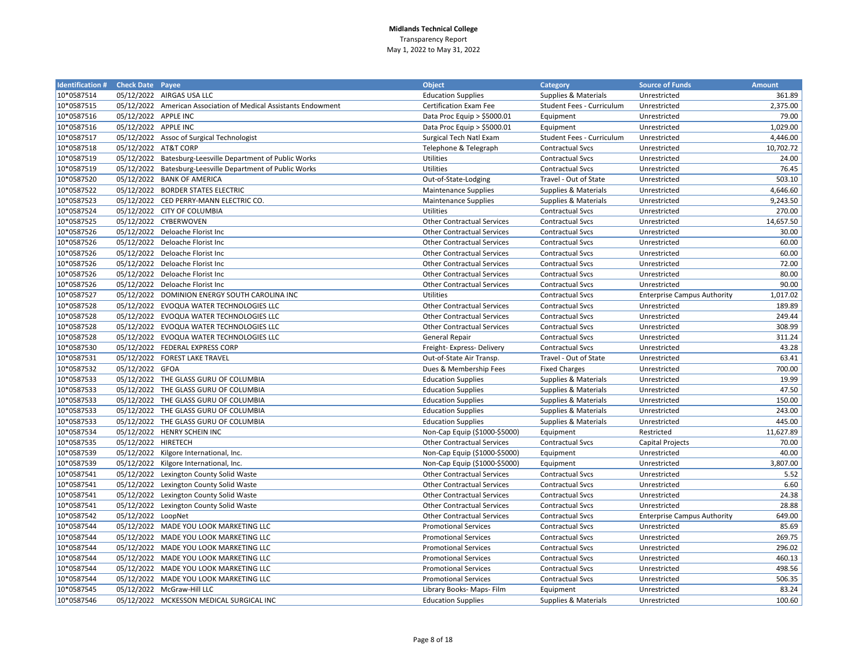| <b>Identification # Check Date Payee</b> |                      |                                                                 | <b>Object</b>                     | Category                        | <b>Source of Funds</b>             | <b>Amount</b> |
|------------------------------------------|----------------------|-----------------------------------------------------------------|-----------------------------------|---------------------------------|------------------------------------|---------------|
| 10*0587514                               |                      | 05/12/2022 AIRGAS USA LLC                                       | <b>Education Supplies</b>         | Supplies & Materials            | Unrestricted                       | 361.89        |
| 10*0587515                               |                      | 05/12/2022 American Association of Medical Assistants Endowment | Certification Exam Fee            | Student Fees - Curriculum       | Unrestricted                       | 2,375.00      |
| 10*0587516                               | 05/12/2022 APPLE INC |                                                                 | Data Proc Equip $>$ \$5000.01     | Equipment                       | Unrestricted                       | 79.00         |
| 10*0587516                               | 05/12/2022 APPLE INC |                                                                 | Data Proc Equip > \$5000.01       | Equipment                       | Unrestricted                       | 1,029.00      |
| 10*0587517                               |                      | 05/12/2022 Assoc of Surgical Technologist                       | Surgical Tech Natl Exam           | Student Fees - Curriculum       | Unrestricted                       | 4,446.00      |
| 10*0587518                               | 05/12/2022 AT&T CORP |                                                                 | Telephone & Telegraph             | <b>Contractual Svcs</b>         | Unrestricted                       | 10,702.72     |
| 10*0587519                               |                      | 05/12/2022 Batesburg-Leesville Department of Public Works       | Utilities                         | <b>Contractual Svcs</b>         | Unrestricted                       | 24.00         |
| 10*0587519                               |                      | 05/12/2022 Batesburg-Leesville Department of Public Works       | <b>Utilities</b>                  | <b>Contractual Svcs</b>         | Unrestricted                       | 76.45         |
| 10*0587520                               |                      | 05/12/2022 BANK OF AMERICA                                      | Out-of-State-Lodging              | Travel - Out of State           | Unrestricted                       | 503.10        |
| 10*0587522                               |                      | 05/12/2022 BORDER STATES ELECTRIC                               | <b>Maintenance Supplies</b>       | Supplies & Materials            | Unrestricted                       | 4,646.60      |
| 10*0587523                               |                      | 05/12/2022 CED PERRY-MANN ELECTRIC CO.                          | <b>Maintenance Supplies</b>       | Supplies & Materials            | Unrestricted                       | 9,243.50      |
| 10*0587524                               |                      | 05/12/2022 CITY OF COLUMBIA                                     | <b>Utilities</b>                  | <b>Contractual Svcs</b>         | Unrestricted                       | 270.00        |
| 10*0587525                               |                      | 05/12/2022 CYBERWOVEN                                           | <b>Other Contractual Services</b> | <b>Contractual Svcs</b>         | Unrestricted                       | 14,657.50     |
| 10*0587526                               |                      | 05/12/2022 Deloache Florist Inc                                 | <b>Other Contractual Services</b> | <b>Contractual Svcs</b>         | Unrestricted                       | 30.00         |
| 10*0587526                               |                      | 05/12/2022 Deloache Florist Inc                                 | <b>Other Contractual Services</b> | <b>Contractual Svcs</b>         | Unrestricted                       | 60.00         |
| 10*0587526                               |                      | 05/12/2022 Deloache Florist Inc                                 | <b>Other Contractual Services</b> | <b>Contractual Svcs</b>         | Unrestricted                       | 60.00         |
| 10*0587526                               |                      | 05/12/2022 Deloache Florist Inc                                 | <b>Other Contractual Services</b> | <b>Contractual Svcs</b>         | Unrestricted                       | 72.00         |
| 10*0587526                               |                      | 05/12/2022 Deloache Florist Inc                                 | <b>Other Contractual Services</b> | <b>Contractual Svcs</b>         | Unrestricted                       | 80.00         |
| 10*0587526                               |                      | 05/12/2022 Deloache Florist Inc                                 | <b>Other Contractual Services</b> | <b>Contractual Svcs</b>         | Unrestricted                       | 90.00         |
| 10*0587527                               |                      | 05/12/2022 DOMINION ENERGY SOUTH CAROLINA INC                   | <b>Utilities</b>                  | <b>Contractual Svcs</b>         | <b>Enterprise Campus Authority</b> | 1,017.02      |
| 10*0587528                               |                      | 05/12/2022 EVOQUA WATER TECHNOLOGIES LLC                        | <b>Other Contractual Services</b> | <b>Contractual Svcs</b>         | Unrestricted                       | 189.89        |
| 10*0587528                               |                      | 05/12/2022 EVOQUA WATER TECHNOLOGIES LLC                        | <b>Other Contractual Services</b> | <b>Contractual Svcs</b>         | Unrestricted                       | 249.44        |
| 10*0587528                               |                      | 05/12/2022 EVOQUA WATER TECHNOLOGIES LLC                        | <b>Other Contractual Services</b> | <b>Contractual Svcs</b>         | Unrestricted                       | 308.99        |
| 10*0587528                               |                      | 05/12/2022 EVOQUA WATER TECHNOLOGIES LLC                        | <b>General Repair</b>             | <b>Contractual Svcs</b>         | Unrestricted                       | 311.24        |
| 10*0587530                               |                      | 05/12/2022 FEDERAL EXPRESS CORP                                 | Freight- Express- Delivery        | <b>Contractual Svcs</b>         | Unrestricted                       | 43.28         |
| 10*0587531                               |                      | 05/12/2022 FOREST LAKE TRAVEL                                   | Out-of-State Air Transp.          | Travel - Out of State           | Unrestricted                       | 63.41         |
| 10*0587532                               | 05/12/2022 GFOA      |                                                                 | Dues & Membership Fees            | <b>Fixed Charges</b>            | Unrestricted                       | 700.00        |
| 10*0587533                               |                      | 05/12/2022 THE GLASS GURU OF COLUMBIA                           | <b>Education Supplies</b>         | Supplies & Materials            | Unrestricted                       | 19.99         |
| 10*0587533                               |                      | 05/12/2022 THE GLASS GURU OF COLUMBIA                           | <b>Education Supplies</b>         | <b>Supplies &amp; Materials</b> | Unrestricted                       | 47.50         |
| 10*0587533                               |                      | 05/12/2022 THE GLASS GURU OF COLUMBIA                           | <b>Education Supplies</b>         | Supplies & Materials            | Unrestricted                       | 150.00        |
| 10*0587533                               |                      | 05/12/2022 THE GLASS GURU OF COLUMBIA                           | <b>Education Supplies</b>         | Supplies & Materials            | Unrestricted                       | 243.00        |
| 10*0587533                               |                      | 05/12/2022 THE GLASS GURU OF COLUMBIA                           | <b>Education Supplies</b>         | <b>Supplies &amp; Materials</b> | Unrestricted                       | 445.00        |
| 10*0587534                               |                      | 05/12/2022 HENRY SCHEIN INC                                     | Non-Cap Equip (\$1000-\$5000)     | Equipment                       | Restricted                         | 11,627.89     |
| 10*0587535                               | 05/12/2022 HIRETECH  |                                                                 | <b>Other Contractual Services</b> | <b>Contractual Svcs</b>         | Capital Projects                   | 70.00         |
| 10*0587539                               |                      | 05/12/2022 Kilgore International, Inc.                          | Non-Cap Equip (\$1000-\$5000)     | Equipment                       | Unrestricted                       | 40.00         |
| 10*0587539                               |                      | 05/12/2022 Kilgore International, Inc.                          | Non-Cap Equip (\$1000-\$5000)     | Equipment                       | Unrestricted                       | 3,807.00      |
| 10*0587541                               |                      | 05/12/2022 Lexington County Solid Waste                         | <b>Other Contractual Services</b> | <b>Contractual Svcs</b>         | Unrestricted                       | 5.52          |
| 10*0587541                               |                      | 05/12/2022 Lexington County Solid Waste                         | <b>Other Contractual Services</b> | <b>Contractual Svcs</b>         | Unrestricted                       | 6.60          |
| 10*0587541                               |                      | 05/12/2022 Lexington County Solid Waste                         | <b>Other Contractual Services</b> | <b>Contractual Svcs</b>         | Unrestricted                       | 24.38         |
| 10*0587541                               |                      | 05/12/2022 Lexington County Solid Waste                         | <b>Other Contractual Services</b> | <b>Contractual Svcs</b>         | Unrestricted                       | 28.88         |
| 10*0587542                               | 05/12/2022 LoopNet   |                                                                 | <b>Other Contractual Services</b> | <b>Contractual Svcs</b>         | <b>Enterprise Campus Authority</b> | 649.00        |
| 10*0587544                               |                      | 05/12/2022 MADE YOU LOOK MARKETING LLC                          | <b>Promotional Services</b>       | <b>Contractual Svcs</b>         | Unrestricted                       | 85.69         |
| 10*0587544                               |                      | 05/12/2022 MADE YOU LOOK MARKETING LLC                          | <b>Promotional Services</b>       | <b>Contractual Svcs</b>         | Unrestricted                       | 269.75        |
| 10*0587544                               |                      | 05/12/2022 MADE YOU LOOK MARKETING LLC                          | <b>Promotional Services</b>       | <b>Contractual Svcs</b>         | Unrestricted                       | 296.02        |
| 10*0587544                               |                      | 05/12/2022 MADE YOU LOOK MARKETING LLC                          | <b>Promotional Services</b>       | <b>Contractual Svcs</b>         | Unrestricted                       | 460.13        |
| 10*0587544                               |                      | 05/12/2022 MADE YOU LOOK MARKETING LLC                          | <b>Promotional Services</b>       | <b>Contractual Svcs</b>         | Unrestricted                       | 498.56        |
| 10*0587544                               |                      | 05/12/2022 MADE YOU LOOK MARKETING LLC                          | <b>Promotional Services</b>       | <b>Contractual Svcs</b>         | Unrestricted                       | 506.35        |
| 10*0587545                               |                      | 05/12/2022 McGraw-Hill LLC                                      | Library Books- Maps- Film         | Equipment                       | Unrestricted                       | 83.24         |
| 10*0587546                               |                      | 05/12/2022 MCKESSON MEDICAL SURGICAL INC                        | <b>Education Supplies</b>         | Supplies & Materials            | Unrestricted                       | 100.60        |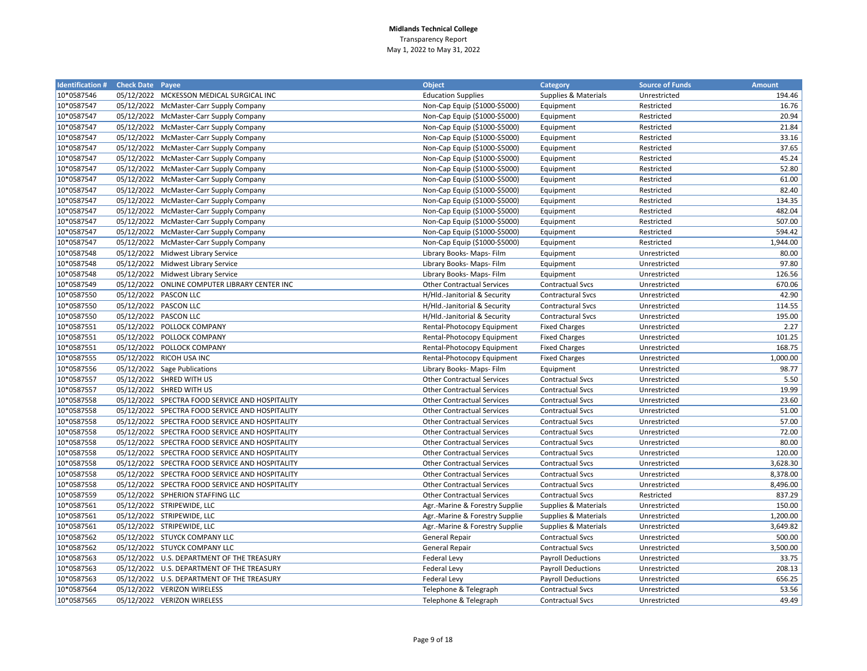| <b>Identification # Check Date Payee</b> |                       |                                                 | <b>Object</b>                     | Category                  | <b>Source of Funds</b> | <b>Amount</b> |
|------------------------------------------|-----------------------|-------------------------------------------------|-----------------------------------|---------------------------|------------------------|---------------|
| 10*0587546                               |                       | 05/12/2022 MCKESSON MEDICAL SURGICAL INC        | <b>Education Supplies</b>         | Supplies & Materials      | Unrestricted           | 194.46        |
| 10*0587547                               |                       | 05/12/2022 McMaster-Carr Supply Company         | Non-Cap Equip (\$1000-\$5000)     | Equipment                 | Restricted             | 16.76         |
| 10*0587547                               |                       | 05/12/2022 McMaster-Carr Supply Company         | Non-Cap Equip (\$1000-\$5000)     | Equipment                 | Restricted             | 20.94         |
| 10*0587547                               |                       | 05/12/2022 McMaster-Carr Supply Company         | Non-Cap Equip (\$1000-\$5000)     | Equipment                 | Restricted             | 21.84         |
| 10*0587547                               |                       | 05/12/2022 McMaster-Carr Supply Company         | Non-Cap Equip (\$1000-\$5000)     | Equipment                 | Restricted             | 33.16         |
| 10*0587547                               |                       | 05/12/2022 McMaster-Carr Supply Company         | Non-Cap Equip (\$1000-\$5000)     | Equipment                 | Restricted             | 37.65         |
| 10*0587547                               |                       | 05/12/2022 McMaster-Carr Supply Company         | Non-Cap Equip (\$1000-\$5000)     | Equipment                 | Restricted             | 45.24         |
| 10*0587547                               |                       | 05/12/2022 McMaster-Carr Supply Company         | Non-Cap Equip (\$1000-\$5000)     | Equipment                 | Restricted             | 52.80         |
| 10*0587547                               |                       | 05/12/2022 McMaster-Carr Supply Company         | Non-Cap Equip (\$1000-\$5000)     | Equipment                 | Restricted             | 61.00         |
| 10*0587547                               |                       | 05/12/2022 McMaster-Carr Supply Company         | Non-Cap Equip (\$1000-\$5000)     | Equipment                 | Restricted             | 82.40         |
| 10*0587547                               |                       | 05/12/2022 McMaster-Carr Supply Company         | Non-Cap Equip (\$1000-\$5000)     | Equipment                 | Restricted             | 134.35        |
| 10*0587547                               |                       | 05/12/2022 McMaster-Carr Supply Company         | Non-Cap Equip (\$1000-\$5000)     | Equipment                 | Restricted             | 482.04        |
| 10*0587547                               |                       | 05/12/2022 McMaster-Carr Supply Company         | Non-Cap Equip (\$1000-\$5000)     | Equipment                 | Restricted             | 507.00        |
| 10*0587547                               |                       | 05/12/2022 McMaster-Carr Supply Company         | Non-Cap Equip (\$1000-\$5000)     | Equipment                 | Restricted             | 594.42        |
| 10*0587547                               |                       | 05/12/2022 McMaster-Carr Supply Company         | Non-Cap Equip (\$1000-\$5000)     | Equipment                 | Restricted             | 1,944.00      |
| 10*0587548                               |                       | 05/12/2022 Midwest Library Service              | Library Books- Maps- Film         | Equipment                 | Unrestricted           | 80.00         |
| 10*0587548                               |                       | 05/12/2022 Midwest Library Service              | Library Books- Maps- Film         | Equipment                 | Unrestricted           | 97.80         |
| 10*0587548                               |                       | 05/12/2022 Midwest Library Service              | Library Books- Maps- Film         | Equipment                 | Unrestricted           | 126.56        |
| 10*0587549                               |                       | 05/12/2022 ONLINE COMPUTER LIBRARY CENTER INC   | <b>Other Contractual Services</b> | <b>Contractual Svcs</b>   | Unrestricted           | 670.06        |
| 10*0587550                               |                       | 05/12/2022 PASCON LLC                           | H/Hld.-Janitorial & Security      | <b>Contractural Svcs</b>  | Unrestricted           | 42.90         |
| 10*0587550                               | 05/12/2022 PASCON LLC |                                                 | H/Hld.-Janitorial & Security      | Contractural Svcs         | Unrestricted           | 114.55        |
| 10*0587550                               | 05/12/2022 PASCON LLC |                                                 | H/Hld.-Janitorial & Security      | <b>Contractural Svcs</b>  | Unrestricted           | 195.00        |
| 10*0587551                               |                       | 05/12/2022 POLLOCK COMPANY                      | Rental-Photocopy Equipment        | <b>Fixed Charges</b>      | Unrestricted           | 2.27          |
| 10*0587551                               |                       | 05/12/2022 POLLOCK COMPANY                      | Rental-Photocopy Equipment        | <b>Fixed Charges</b>      | Unrestricted           | 101.25        |
| 10*0587551                               |                       | 05/12/2022 POLLOCK COMPANY                      | Rental-Photocopy Equipment        | <b>Fixed Charges</b>      | Unrestricted           | 168.75        |
| 10*0587555                               |                       | 05/12/2022 RICOH USA INC                        | Rental-Photocopy Equipment        | <b>Fixed Charges</b>      | Unrestricted           | 1,000.00      |
| 10*0587556                               |                       | 05/12/2022 Sage Publications                    | Library Books- Maps- Film         | Equipment                 | Unrestricted           | 98.77         |
| 10*0587557                               |                       | 05/12/2022 SHRED WITH US                        | <b>Other Contractual Services</b> | <b>Contractual Svcs</b>   | Unrestricted           | 5.50          |
| 10*0587557                               |                       | 05/12/2022 SHRED WITH US                        | <b>Other Contractual Services</b> | <b>Contractual Svcs</b>   | Unrestricted           | 19.99         |
| 10*0587558                               |                       | 05/12/2022 SPECTRA FOOD SERVICE AND HOSPITALITY | <b>Other Contractual Services</b> | <b>Contractual Svcs</b>   | Unrestricted           | 23.60         |
| 10*0587558                               |                       | 05/12/2022 SPECTRA FOOD SERVICE AND HOSPITALITY | <b>Other Contractual Services</b> | <b>Contractual Svcs</b>   | Unrestricted           | 51.00         |
| 10*0587558                               |                       | 05/12/2022 SPECTRA FOOD SERVICE AND HOSPITALITY | <b>Other Contractual Services</b> | <b>Contractual Svcs</b>   | Unrestricted           | 57.00         |
| 10*0587558                               |                       | 05/12/2022 SPECTRA FOOD SERVICE AND HOSPITALITY | <b>Other Contractual Services</b> | <b>Contractual Svcs</b>   | Unrestricted           | 72.00         |
| 10*0587558                               |                       | 05/12/2022 SPECTRA FOOD SERVICE AND HOSPITALITY | <b>Other Contractual Services</b> | <b>Contractual Svcs</b>   | Unrestricted           | 80.00         |
| 10*0587558                               |                       | 05/12/2022 SPECTRA FOOD SERVICE AND HOSPITALITY | <b>Other Contractual Services</b> | <b>Contractual Svcs</b>   | Unrestricted           | 120.00        |
| 10*0587558                               |                       | 05/12/2022 SPECTRA FOOD SERVICE AND HOSPITALITY | <b>Other Contractual Services</b> | <b>Contractual Svcs</b>   | Unrestricted           | 3,628.30      |
| 10*0587558                               |                       | 05/12/2022 SPECTRA FOOD SERVICE AND HOSPITALITY | <b>Other Contractual Services</b> | <b>Contractual Svcs</b>   | Unrestricted           | 8,378.00      |
| 10*0587558                               |                       | 05/12/2022 SPECTRA FOOD SERVICE AND HOSPITALITY | <b>Other Contractual Services</b> | <b>Contractual Svcs</b>   | Unrestricted           | 8,496.00      |
| 10*0587559                               |                       | 05/12/2022 SPHERION STAFFING LLC                | <b>Other Contractual Services</b> | Contractual Svcs          | Restricted             | 837.29        |
| 10*0587561                               |                       | 05/12/2022 STRIPEWIDE, LLC                      | Agr.-Marine & Forestry Supplie    | Supplies & Materials      | Unrestricted           | 150.00        |
| 10*0587561                               |                       | 05/12/2022 STRIPEWIDE, LLC                      | Agr.-Marine & Forestry Supplie    | Supplies & Materials      | Unrestricted           | 1,200.00      |
| 10*0587561                               |                       | 05/12/2022 STRIPEWIDE, LLC                      | Agr.-Marine & Forestry Supplie    | Supplies & Materials      | Unrestricted           | 3,649.82      |
| 10*0587562                               |                       | 05/12/2022 STUYCK COMPANY LLC                   | <b>General Repair</b>             | <b>Contractual Svcs</b>   | Unrestricted           | 500.00        |
| 10*0587562                               |                       | 05/12/2022 STUYCK COMPANY LLC                   | <b>General Repair</b>             | <b>Contractual Svcs</b>   | Unrestricted           | 3,500.00      |
| 10*0587563                               |                       | 05/12/2022 U.S. DEPARTMENT OF THE TREASURY      | <b>Federal Levy</b>               | <b>Payroll Deductions</b> | Unrestricted           | 33.75         |
| 10*0587563                               |                       | 05/12/2022 U.S. DEPARTMENT OF THE TREASURY      | Federal Levy                      | <b>Payroll Deductions</b> | Unrestricted           | 208.13        |
| 10*0587563                               |                       | 05/12/2022 U.S. DEPARTMENT OF THE TREASURY      | Federal Levy                      | <b>Payroll Deductions</b> | Unrestricted           | 656.25        |
| 10*0587564                               |                       | 05/12/2022 VERIZON WIRELESS                     | Telephone & Telegraph             | <b>Contractual Svcs</b>   | Unrestricted           | 53.56         |
| 10*0587565                               |                       | 05/12/2022 VERIZON WIRELESS                     | Telephone & Telegraph             | <b>Contractual Svcs</b>   | Unrestricted           | 49.49         |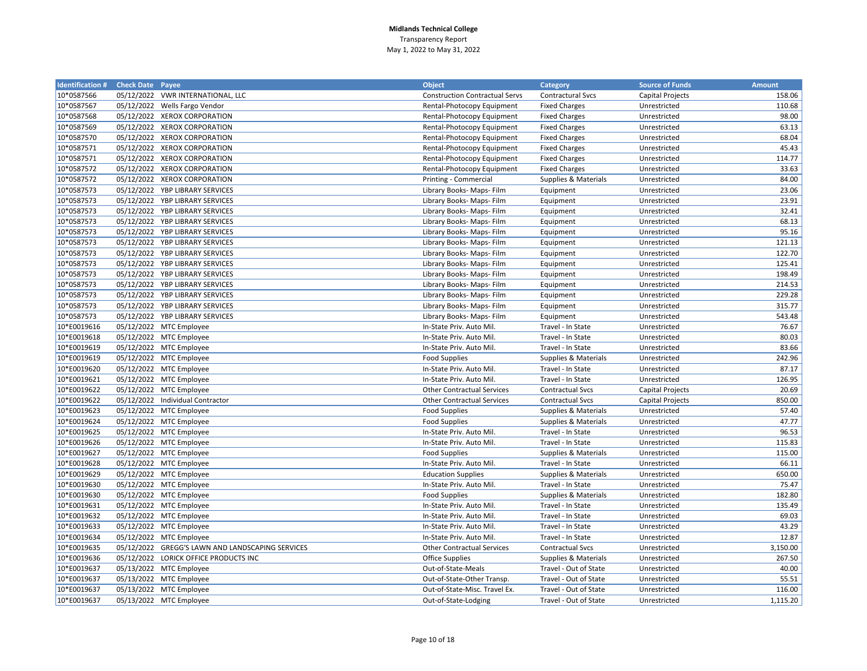| <b>Identification # Check Date Payee</b> |                                                  | <b>Object</b>                         | Category                | <b>Source of Funds</b>  | <b>Amount</b> |
|------------------------------------------|--------------------------------------------------|---------------------------------------|-------------------------|-------------------------|---------------|
| 10*0587566                               | 05/12/2022 VWR INTERNATIONAL, LLC                | <b>Construction Contractual Servs</b> | Contractural Svcs       | <b>Capital Projects</b> | 158.06        |
| 10*0587567                               | 05/12/2022 Wells Fargo Vendor                    | Rental-Photocopy Equipment            | <b>Fixed Charges</b>    | Unrestricted            | 110.68        |
| 10*0587568                               | 05/12/2022 XEROX CORPORATION                     | Rental-Photocopy Equipment            | <b>Fixed Charges</b>    | Unrestricted            | 98.00         |
| 10*0587569                               | 05/12/2022 XEROX CORPORATION                     | Rental-Photocopy Equipment            | <b>Fixed Charges</b>    | Unrestricted            | 63.13         |
| 10*0587570                               | 05/12/2022 XEROX CORPORATION                     | Rental-Photocopy Equipment            | <b>Fixed Charges</b>    | Unrestricted            | 68.04         |
| 10*0587571                               | 05/12/2022 XEROX CORPORATION                     | Rental-Photocopy Equipment            | <b>Fixed Charges</b>    | Unrestricted            | 45.43         |
| 10*0587571                               | 05/12/2022 XEROX CORPORATION                     | Rental-Photocopy Equipment            | <b>Fixed Charges</b>    | Unrestricted            | 114.77        |
| 10*0587572                               | 05/12/2022 XEROX CORPORATION                     | Rental-Photocopy Equipment            | <b>Fixed Charges</b>    | Unrestricted            | 33.63         |
| 10*0587572                               | 05/12/2022 XEROX CORPORATION                     | Printing - Commercial                 | Supplies & Materials    | Unrestricted            | 84.00         |
| 10*0587573                               | 05/12/2022 YBP LIBRARY SERVICES                  | Library Books- Maps- Film             | Equipment               | Unrestricted            | 23.06         |
| 10*0587573                               | 05/12/2022 YBP LIBRARY SERVICES                  | Library Books- Maps- Film             | Equipment               | Unrestricted            | 23.91         |
| 10*0587573                               | 05/12/2022 YBP LIBRARY SERVICES                  | Library Books- Maps- Film             | Equipment               | Unrestricted            | 32.41         |
| 10*0587573                               | 05/12/2022 YBP LIBRARY SERVICES                  | Library Books- Maps- Film             | Equipment               | Unrestricted            | 68.13         |
| 10*0587573                               | 05/12/2022 YBP LIBRARY SERVICES                  | Library Books- Maps- Film             | Equipment               | Unrestricted            | 95.16         |
| 10*0587573                               | 05/12/2022 YBP LIBRARY SERVICES                  | Library Books- Maps- Film             | Equipment               | Unrestricted            | 121.13        |
| 10*0587573                               | 05/12/2022 YBP LIBRARY SERVICES                  | Library Books- Maps- Film             | Equipment               | Unrestricted            | 122.70        |
| 10*0587573                               | 05/12/2022 YBP LIBRARY SERVICES                  | Library Books- Maps- Film             | Equipment               | Unrestricted            | 125.41        |
| 10*0587573                               | 05/12/2022 YBP LIBRARY SERVICES                  | Library Books- Maps- Film             | Equipment               | Unrestricted            | 198.49        |
| 10*0587573                               | 05/12/2022 YBP LIBRARY SERVICES                  | Library Books- Maps- Film             | Equipment               | Unrestricted            | 214.53        |
| 10*0587573                               | 05/12/2022 YBP LIBRARY SERVICES                  | Library Books- Maps- Film             | Equipment               | Unrestricted            | 229.28        |
| 10*0587573                               | 05/12/2022 YBP LIBRARY SERVICES                  | Library Books- Maps- Film             | Equipment               | Unrestricted            | 315.77        |
| 10*0587573                               | 05/12/2022 YBP LIBRARY SERVICES                  | Library Books- Maps- Film             | Equipment               | Unrestricted            | 543.48        |
| 10*E0019616                              | 05/12/2022 MTC Employee                          | In-State Priv. Auto Mil.              | Travel - In State       | Unrestricted            | 76.67         |
| 10*E0019618                              | 05/12/2022 MTC Employee                          | In-State Priv. Auto Mil.              | Travel - In State       | Unrestricted            | 80.03         |
| 10*E0019619                              | 05/12/2022 MTC Employee                          | In-State Priv. Auto Mil.              | Travel - In State       | Unrestricted            | 83.66         |
| 10*E0019619                              | 05/12/2022 MTC Employee                          | <b>Food Supplies</b>                  | Supplies & Materials    | Unrestricted            | 242.96        |
| 10*E0019620                              | 05/12/2022 MTC Employee                          | In-State Priv. Auto Mil.              | Travel - In State       | Unrestricted            | 87.17         |
| 10*E0019621                              | 05/12/2022 MTC Employee                          | In-State Priv. Auto Mil.              | Travel - In State       | Unrestricted            | 126.95        |
| 10*E0019622                              | 05/12/2022 MTC Employee                          | <b>Other Contractual Services</b>     | <b>Contractual Svcs</b> | <b>Capital Projects</b> | 20.69         |
| 10*E0019622                              | 05/12/2022 Individual Contractor                 | <b>Other Contractual Services</b>     | <b>Contractual Svcs</b> | <b>Capital Projects</b> | 850.00        |
| 10*E0019623                              | 05/12/2022 MTC Employee                          | <b>Food Supplies</b>                  | Supplies & Materials    | Unrestricted            | 57.40         |
| 10*E0019624                              | 05/12/2022 MTC Employee                          | <b>Food Supplies</b>                  | Supplies & Materials    | Unrestricted            | 47.77         |
| 10*E0019625                              | 05/12/2022 MTC Employee                          | In-State Priv. Auto Mil.              | Travel - In State       | Unrestricted            | 96.53         |
| 10*E0019626                              | 05/12/2022 MTC Employee                          | In-State Priv. Auto Mil.              | Travel - In State       | Unrestricted            | 115.83        |
| 10*E0019627                              | 05/12/2022 MTC Employee                          | <b>Food Supplies</b>                  | Supplies & Materials    | Unrestricted            | 115.00        |
| 10*E0019628                              | 05/12/2022 MTC Employee                          | In-State Priv. Auto Mil.              | Travel - In State       | Unrestricted            | 66.11         |
| 10*E0019629                              | 05/12/2022 MTC Employee                          | <b>Education Supplies</b>             | Supplies & Materials    | Unrestricted            | 650.00        |
| 10*E0019630                              | 05/12/2022 MTC Employee                          | In-State Priv. Auto Mil.              | Travel - In State       | Unrestricted            | 75.47         |
| 10*E0019630                              | 05/12/2022 MTC Employee                          | <b>Food Supplies</b>                  | Supplies & Materials    | Unrestricted            | 182.80        |
| 10*E0019631                              | 05/12/2022 MTC Employee                          | In-State Priv. Auto Mil.              | Travel - In State       | Unrestricted            | 135.49        |
| 10*E0019632                              | 05/12/2022 MTC Employee                          | In-State Priv. Auto Mil.              | Travel - In State       | Unrestricted            | 69.03         |
| 10*E0019633                              | 05/12/2022 MTC Employee                          | In-State Priv. Auto Mil.              | Travel - In State       | Unrestricted            | 43.29         |
| 10*E0019634                              | 05/12/2022 MTC Employee                          | In-State Priv. Auto Mil.              | Travel - In State       | Unrestricted            | 12.87         |
| 10*E0019635                              | 05/12/2022 GREGG'S LAWN AND LANDSCAPING SERVICES | <b>Other Contractual Services</b>     | <b>Contractual Svcs</b> | Unrestricted            | 3,150.00      |
| 10*E0019636                              | 05/12/2022 LORICK OFFICE PRODUCTS INC            | <b>Office Supplies</b>                | Supplies & Materials    | Unrestricted            | 267.50        |
| 10*E0019637                              | 05/13/2022 MTC Employee                          | Out-of-State-Meals                    | Travel - Out of State   | Unrestricted            | 40.00         |
| 10*E0019637                              | 05/13/2022 MTC Employee                          | Out-of-State-Other Transp.            | Travel - Out of State   | Unrestricted            | 55.51         |
| 10*E0019637                              | 05/13/2022 MTC Employee                          | Out-of-State-Misc. Travel Ex.         | Travel - Out of State   | Unrestricted            | 116.00        |
| 10*E0019637                              | 05/13/2022 MTC Employee                          | Out-of-State-Lodging                  | Travel - Out of State   | Unrestricted            | 1,115.20      |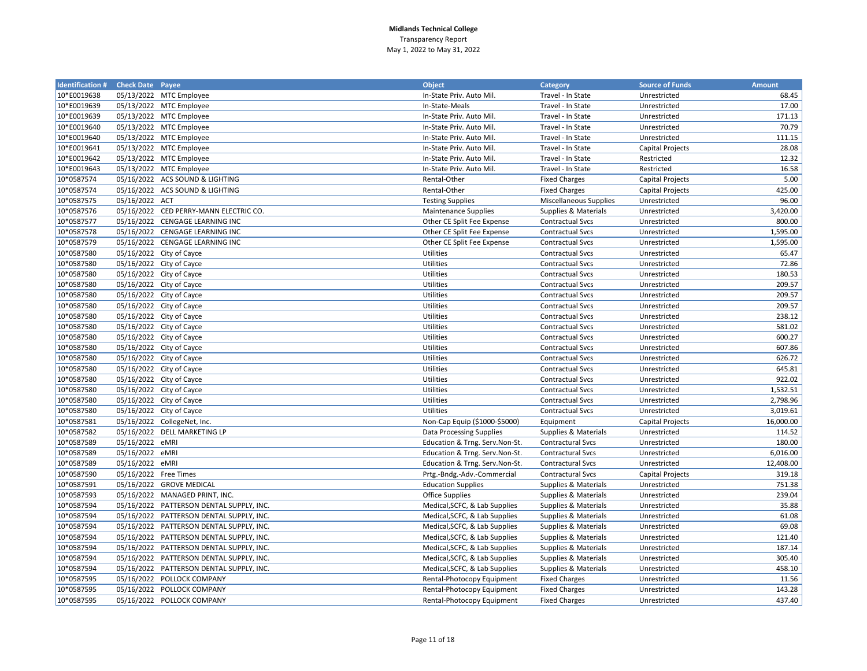| <b>Identification # Check Date Payee</b> |                       |                                          | <b>Object</b>                  | <b>Category</b>               | <b>Source of Funds</b>  | <b>Amount</b> |
|------------------------------------------|-----------------------|------------------------------------------|--------------------------------|-------------------------------|-------------------------|---------------|
| 10*E0019638                              |                       | 05/13/2022 MTC Employee                  | In-State Priv. Auto Mil        | Travel - In State             | Unrestricted            | 68.45         |
| 10*E0019639                              |                       | 05/13/2022 MTC Employee                  | In-State-Meals                 | Travel - In State             | Unrestricted            | 17.00         |
| 10*E0019639                              |                       | 05/13/2022 MTC Employee                  | In-State Priv. Auto Mil.       | Travel - In State             | Unrestricted            | 171.13        |
| 10*E0019640                              |                       | 05/13/2022 MTC Employee                  | In-State Priv. Auto Mil.       | Travel - In State             | Unrestricted            | 70.79         |
| 10*E0019640                              |                       | 05/13/2022 MTC Employee                  | In-State Priv. Auto Mil.       | Travel - In State             | Unrestricted            | 111.15        |
| 10*E0019641                              |                       | 05/13/2022 MTC Employee                  | In-State Priv. Auto Mil.       | Travel - In State             | Capital Projects        | 28.08         |
| 10*E0019642                              |                       | 05/13/2022 MTC Employee                  | In-State Priv. Auto Mil.       | Travel - In State             | Restricted              | 12.32         |
| 10*E0019643                              |                       | 05/13/2022 MTC Employee                  | In-State Priv. Auto Mil.       | Travel - In State             | Restricted              | 16.58         |
| 10*0587574                               |                       | 05/16/2022 ACS SOUND & LIGHTING          | Rental-Other                   | <b>Fixed Charges</b>          | <b>Capital Projects</b> | 5.00          |
| 10*0587574                               |                       | 05/16/2022 ACS SOUND & LIGHTING          | Rental-Other                   | <b>Fixed Charges</b>          | Capital Projects        | 425.00        |
| 10*0587575                               | 05/16/2022 ACT        |                                          | <b>Testing Supplies</b>        | <b>Miscellaneous Supplies</b> | Unrestricted            | 96.00         |
| 10*0587576                               |                       | 05/16/2022 CED PERRY-MANN ELECTRIC CO.   | <b>Maintenance Supplies</b>    | Supplies & Materials          | Unrestricted            | 3,420.00      |
| 10*0587577                               |                       | 05/16/2022 CENGAGE LEARNING INC          | Other CE Split Fee Expense     | <b>Contractual Svcs</b>       | Unrestricted            | 800.00        |
| 10*0587578                               |                       | 05/16/2022 CENGAGE LEARNING INC          | Other CE Split Fee Expense     | <b>Contractual Svcs</b>       | Unrestricted            | 1,595.00      |
| 10*0587579                               |                       | 05/16/2022 CENGAGE LEARNING INC          | Other CE Split Fee Expense     | <b>Contractual Svcs</b>       | Unrestricted            | 1,595.00      |
| 10*0587580                               |                       | 05/16/2022 City of Cayce                 | Utilities                      | <b>Contractual Svcs</b>       | Unrestricted            | 65.47         |
| 10*0587580                               |                       | 05/16/2022 City of Cayce                 | <b>Utilities</b>               | <b>Contractual Svcs</b>       | Unrestricted            | 72.86         |
| 10*0587580                               |                       | 05/16/2022 City of Cayce                 | Utilities                      | <b>Contractual Svcs</b>       | Unrestricted            | 180.53        |
| 10*0587580                               |                       | 05/16/2022 City of Cayce                 | Utilities                      | <b>Contractual Svcs</b>       | Unrestricted            | 209.57        |
| 10*0587580                               |                       | 05/16/2022 City of Cayce                 | Utilities                      | <b>Contractual Svcs</b>       | Unrestricted            | 209.57        |
| 10*0587580                               |                       | 05/16/2022 City of Cayce                 | Utilities                      | <b>Contractual Svcs</b>       | Unrestricted            | 209.57        |
| 10*0587580                               |                       | 05/16/2022 City of Cayce                 | <b>Utilities</b>               | <b>Contractual Svcs</b>       | Unrestricted            | 238.12        |
| 10*0587580                               |                       | 05/16/2022 City of Cayce                 | Utilities                      | <b>Contractual Svcs</b>       | Unrestricted            | 581.02        |
| 10*0587580                               |                       | 05/16/2022 City of Cayce                 | Utilities                      | <b>Contractual Svcs</b>       | Unrestricted            | 600.27        |
| 10*0587580                               |                       | 05/16/2022 City of Cayce                 | Utilities                      | <b>Contractual Svcs</b>       | Unrestricted            | 607.86        |
| 10*0587580                               |                       | 05/16/2022 City of Cayce                 | <b>Utilities</b>               | <b>Contractual Svcs</b>       | Unrestricted            | 626.72        |
| 10*0587580                               |                       | 05/16/2022 City of Cayce                 | Utilities                      | <b>Contractual Svcs</b>       | Unrestricted            | 645.81        |
| 10*0587580                               |                       | 05/16/2022 City of Cayce                 | Utilities                      | <b>Contractual Svcs</b>       | Unrestricted            | 922.02        |
| 10*0587580                               |                       | 05/16/2022 City of Cayce                 | Utilities                      | <b>Contractual Svcs</b>       | Unrestricted            | 1,532.51      |
| 10*0587580                               |                       | 05/16/2022 City of Cayce                 | <b>Utilities</b>               | <b>Contractual Svcs</b>       | Unrestricted            | 2,798.96      |
| 10*0587580                               |                       | 05/16/2022 City of Cayce                 | <b>Utilities</b>               | <b>Contractual Svcs</b>       | Unrestricted            | 3,019.61      |
| 10*0587581                               |                       | 05/16/2022 CollegeNet, Inc.              | Non-Cap Equip (\$1000-\$5000)  | Equipment                     | <b>Capital Projects</b> | 16,000.00     |
| 10*0587582                               |                       | 05/16/2022 DELL MARKETING LP             | Data Processing Supplies       | Supplies & Materials          | Unrestricted            | 114.52        |
| 10*0587589                               | 05/16/2022 eMRI       |                                          | Education & Trng. Serv.Non-St. | <b>Contractural Svcs</b>      | Unrestricted            | 180.00        |
| 10*0587589                               | 05/16/2022 eMRI       |                                          | Education & Trng. Serv.Non-St. | <b>Contractural Svcs</b>      | Unrestricted            | 6,016.00      |
| 10*0587589                               | 05/16/2022 eMRI       |                                          | Education & Trng. Serv.Non-St. | <b>Contractural Svcs</b>      | Unrestricted            | 12,408.00     |
| 10*0587590                               | 05/16/2022 Free Times |                                          | Prtg.-Bndg.-Adv.-Commercial    | <b>Contractural Svcs</b>      | <b>Capital Projects</b> | 319.18        |
| 10*0587591                               |                       | 05/16/2022 GROVE MEDICAL                 | <b>Education Supplies</b>      | Supplies & Materials          | Unrestricted            | 751.38        |
| 10*0587593                               |                       | 05/16/2022 MANAGED PRINT, INC.           | <b>Office Supplies</b>         | Supplies & Materials          | Unrestricted            | 239.04        |
| 10*0587594                               |                       | 05/16/2022 PATTERSON DENTAL SUPPLY, INC. | Medical, SCFC, & Lab Supplies  | Supplies & Materials          | Unrestricted            | 35.88         |
| 10*0587594                               |                       | 05/16/2022 PATTERSON DENTAL SUPPLY, INC. | Medical, SCFC, & Lab Supplies  | Supplies & Materials          | Unrestricted            | 61.08         |
| 10*0587594                               |                       | 05/16/2022 PATTERSON DENTAL SUPPLY, INC. | Medical, SCFC, & Lab Supplies  | Supplies & Materials          | Unrestricted            | 69.08         |
| 10*0587594                               |                       | 05/16/2022 PATTERSON DENTAL SUPPLY, INC. | Medical, SCFC, & Lab Supplies  | Supplies & Materials          | Unrestricted            | 121.40        |
| 10*0587594                               |                       | 05/16/2022 PATTERSON DENTAL SUPPLY, INC. | Medical, SCFC, & Lab Supplies  | Supplies & Materials          | Unrestricted            | 187.14        |
| 10*0587594                               |                       | 05/16/2022 PATTERSON DENTAL SUPPLY, INC. | Medical, SCFC, & Lab Supplies  | Supplies & Materials          | Unrestricted            | 305.40        |
| 10*0587594                               |                       | 05/16/2022 PATTERSON DENTAL SUPPLY, INC. | Medical, SCFC, & Lab Supplies  | Supplies & Materials          | Unrestricted            | 458.10        |
| 10*0587595                               |                       | 05/16/2022 POLLOCK COMPANY               | Rental-Photocopy Equipment     | <b>Fixed Charges</b>          | Unrestricted            | 11.56         |
| 10*0587595                               |                       | 05/16/2022 POLLOCK COMPANY               | Rental-Photocopy Equipment     | <b>Fixed Charges</b>          | Unrestricted            | 143.28        |
| 10*0587595                               |                       | 05/16/2022 POLLOCK COMPANY               | Rental-Photocopy Equipment     | <b>Fixed Charges</b>          | Unrestricted            | 437.40        |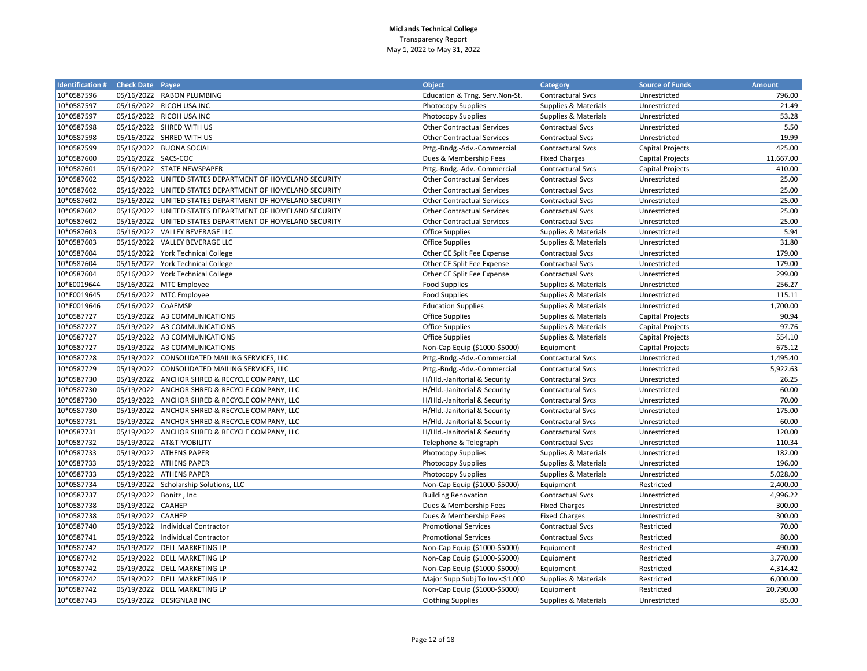| <b>Identification #</b> | <b>Check Date Payee</b> |                                                          | <b>Object</b>                     | <b>Category</b>                 | <b>Source of Funds</b>  | <b>Amount</b> |
|-------------------------|-------------------------|----------------------------------------------------------|-----------------------------------|---------------------------------|-------------------------|---------------|
| 10*0587596              |                         | 05/16/2022 RABON PLUMBING                                | Education & Trng. Serv.Non-St.    | <b>Contractural Svcs</b>        | Unrestricted            | 796.00        |
| 10*0587597              |                         | 05/16/2022 RICOH USA INC                                 | <b>Photocopy Supplies</b>         | <b>Supplies &amp; Materials</b> | Unrestricted            | 21.49         |
| 10*0587597              |                         | 05/16/2022 RICOH USA INC                                 | <b>Photocopy Supplies</b>         | Supplies & Materials            | Unrestricted            | 53.28         |
| 10*0587598              |                         | 05/16/2022 SHRED WITH US                                 | <b>Other Contractual Services</b> | <b>Contractual Svcs</b>         | Unrestricted            | 5.50          |
| 10*0587598              |                         | 05/16/2022 SHRED WITH US                                 | <b>Other Contractual Services</b> | <b>Contractual Svcs</b>         | Unrestricted            | 19.99         |
| 10*0587599              |                         | 05/16/2022 BUONA SOCIAL                                  | Prtg.-Bndg.-Adv.-Commercial       | <b>Contractural Svcs</b>        | Capital Projects        | 425.00        |
| 10*0587600              | 05/16/2022 SACS-COC     |                                                          | Dues & Membership Fees            | <b>Fixed Charges</b>            | <b>Capital Projects</b> | 11,667.00     |
| 10*0587601              |                         | 05/16/2022 STATE NEWSPAPER                               | Prtg.-Bndg.-Adv.-Commercial       | <b>Contractural Svcs</b>        | Capital Projects        | 410.00        |
| 10*0587602              |                         | 05/16/2022 UNITED STATES DEPARTMENT OF HOMELAND SECURITY | <b>Other Contractual Services</b> | <b>Contractual Svcs</b>         | Unrestricted            | 25.00         |
| 10*0587602              |                         | 05/16/2022 UNITED STATES DEPARTMENT OF HOMELAND SECURITY | <b>Other Contractual Services</b> | <b>Contractual Svcs</b>         | Unrestricted            | 25.00         |
| 10*0587602              |                         | 05/16/2022 UNITED STATES DEPARTMENT OF HOMELAND SECURITY | <b>Other Contractual Services</b> | <b>Contractual Svcs</b>         | Unrestricted            | 25.00         |
| 10*0587602              |                         | 05/16/2022 UNITED STATES DEPARTMENT OF HOMELAND SECURITY | <b>Other Contractual Services</b> | <b>Contractual Svcs</b>         | Unrestricted            | 25.00         |
| 10*0587602              |                         | 05/16/2022 UNITED STATES DEPARTMENT OF HOMELAND SECURITY | <b>Other Contractual Services</b> | <b>Contractual Svcs</b>         | Unrestricted            | 25.00         |
| 10*0587603              |                         | 05/16/2022 VALLEY BEVERAGE LLC                           | Office Supplies                   | <b>Supplies &amp; Materials</b> | Unrestricted            | 5.94          |
| 10*0587603              |                         | 05/16/2022 VALLEY BEVERAGE LLC                           | <b>Office Supplies</b>            | Supplies & Materials            | Unrestricted            | 31.80         |
| 10*0587604              |                         | 05/16/2022 York Technical College                        | Other CE Split Fee Expense        | <b>Contractual Svcs</b>         | Unrestricted            | 179.00        |
| 10*0587604              |                         | 05/16/2022 York Technical College                        | Other CE Split Fee Expense        | <b>Contractual Svcs</b>         | Unrestricted            | 179.00        |
| 10*0587604              |                         | 05/16/2022 York Technical College                        | Other CE Split Fee Expense        | <b>Contractual Svcs</b>         | Unrestricted            | 299.00        |
| 10*E0019644             |                         | 05/16/2022 MTC Employee                                  | <b>Food Supplies</b>              | Supplies & Materials            | Unrestricted            | 256.27        |
| 10*E0019645             |                         | 05/16/2022 MTC Employee                                  | <b>Food Supplies</b>              | Supplies & Materials            | Unrestricted            | 115.11        |
| 10*E0019646             | 05/16/2022 CoAEMSP      |                                                          | <b>Education Supplies</b>         | Supplies & Materials            | Unrestricted            | 1,700.00      |
| 10*0587727              |                         | 05/19/2022 A3 COMMUNICATIONS                             | <b>Office Supplies</b>            | Supplies & Materials            | Capital Projects        | 90.94         |
| 10*0587727              |                         | 05/19/2022 A3 COMMUNICATIONS                             | <b>Office Supplies</b>            | Supplies & Materials            | Capital Projects        | 97.76         |
| 10*0587727              |                         | 05/19/2022 A3 COMMUNICATIONS                             | <b>Office Supplies</b>            | Supplies & Materials            | <b>Capital Projects</b> | 554.10        |
| 10*0587727              |                         | 05/19/2022 A3 COMMUNICATIONS                             | Non-Cap Equip (\$1000-\$5000)     | Equipment                       | <b>Capital Projects</b> | 675.12        |
| 10*0587728              |                         | 05/19/2022 CONSOLIDATED MAILING SERVICES, LLC            | Prtg.-Bndg.-Adv.-Commercial       | Contractural Svcs               | Unrestricted            | 1,495.40      |
| 10*0587729              |                         | 05/19/2022 CONSOLIDATED MAILING SERVICES, LLC            | Prtg.-Bndg.-Adv.-Commercial       | Contractural Svcs               | Unrestricted            | 5,922.63      |
| 10*0587730              |                         | 05/19/2022 ANCHOR SHRED & RECYCLE COMPANY, LLC           | H/Hld.-Janitorial & Security      | <b>Contractural Svcs</b>        | Unrestricted            | 26.25         |
| 10*0587730              |                         | 05/19/2022 ANCHOR SHRED & RECYCLE COMPANY, LLC           | H/Hld.-Janitorial & Security      | <b>Contractural Svcs</b>        | Unrestricted            | 60.00         |
| 10*0587730              |                         | 05/19/2022 ANCHOR SHRED & RECYCLE COMPANY, LLC           | H/Hld.-Janitorial & Security      | <b>Contractural Svcs</b>        | Unrestricted            | 70.00         |
| 10*0587730              |                         | 05/19/2022 ANCHOR SHRED & RECYCLE COMPANY, LLC           | H/Hld.-Janitorial & Security      | <b>Contractural Svcs</b>        | Unrestricted            | 175.00        |
| 10*0587731              |                         | 05/19/2022 ANCHOR SHRED & RECYCLE COMPANY, LLC           | H/Hld.-Janitorial & Security      | Contractural Svcs               | Unrestricted            | 60.00         |
| 10*0587731              |                         | 05/19/2022 ANCHOR SHRED & RECYCLE COMPANY, LLC           | H/Hld.-Janitorial & Security      | <b>Contractural Svcs</b>        | Unrestricted            | 120.00        |
| 10*0587732              |                         | 05/19/2022 AT&T MOBILITY                                 | Telephone & Telegraph             | <b>Contractual Svcs</b>         | Unrestricted            | 110.34        |
| 10*0587733              |                         | 05/19/2022 ATHENS PAPER                                  | <b>Photocopy Supplies</b>         | <b>Supplies &amp; Materials</b> | Unrestricted            | 182.00        |
| 10*0587733              |                         | 05/19/2022 ATHENS PAPER                                  | <b>Photocopy Supplies</b>         | Supplies & Materials            | Unrestricted            | 196.00        |
| 10*0587733              |                         | 05/19/2022 ATHENS PAPER                                  | <b>Photocopy Supplies</b>         | Supplies & Materials            | Unrestricted            | 5,028.00      |
| 10*0587734              |                         | 05/19/2022 Scholarship Solutions, LLC                    | Non-Cap Equip (\$1000-\$5000)     | Equipment                       | Restricted              | 2,400.00      |
| 10*0587737              | 05/19/2022 Bonitz, Inc  |                                                          | <b>Building Renovation</b>        | <b>Contractual Svcs</b>         | Unrestricted            | 4,996.22      |
| 10*0587738              | 05/19/2022 CAAHEP       |                                                          | Dues & Membership Fees            | <b>Fixed Charges</b>            | Unrestricted            | 300.00        |
| 10*0587738              | 05/19/2022 CAAHEP       |                                                          | Dues & Membership Fees            | <b>Fixed Charges</b>            | Unrestricted            | 300.00        |
| 10*0587740              |                         | 05/19/2022 Individual Contractor                         | <b>Promotional Services</b>       | <b>Contractual Svcs</b>         | Restricted              | 70.00         |
| 10*0587741              |                         | 05/19/2022 Individual Contractor                         | <b>Promotional Services</b>       | <b>Contractual Svcs</b>         | Restricted              | 80.00         |
| 10*0587742              |                         | 05/19/2022 DELL MARKETING LP                             | Non-Cap Equip (\$1000-\$5000)     | Equipment                       | Restricted              | 490.00        |
| 10*0587742              |                         | 05/19/2022 DELL MARKETING LP                             | Non-Cap Equip (\$1000-\$5000)     | Equipment                       | Restricted              | 3,770.00      |
| 10*0587742              |                         | 05/19/2022 DELL MARKETING LP                             | Non-Cap Equip (\$1000-\$5000)     | Equipment                       | Restricted              | 4,314.42      |
| 10*0587742              |                         | 05/19/2022 DELL MARKETING LP                             | Major Supp Subj To Inv <\$1,000   | Supplies & Materials            | Restricted              | 6,000.00      |
| 10*0587742              |                         | 05/19/2022 DELL MARKETING LP                             | Non-Cap Equip (\$1000-\$5000)     | Equipment                       | Restricted              | 20,790.00     |
| 10*0587743              |                         | 05/19/2022 DESIGNLAB INC                                 | <b>Clothing Supplies</b>          | Supplies & Materials            | Unrestricted            | 85.00         |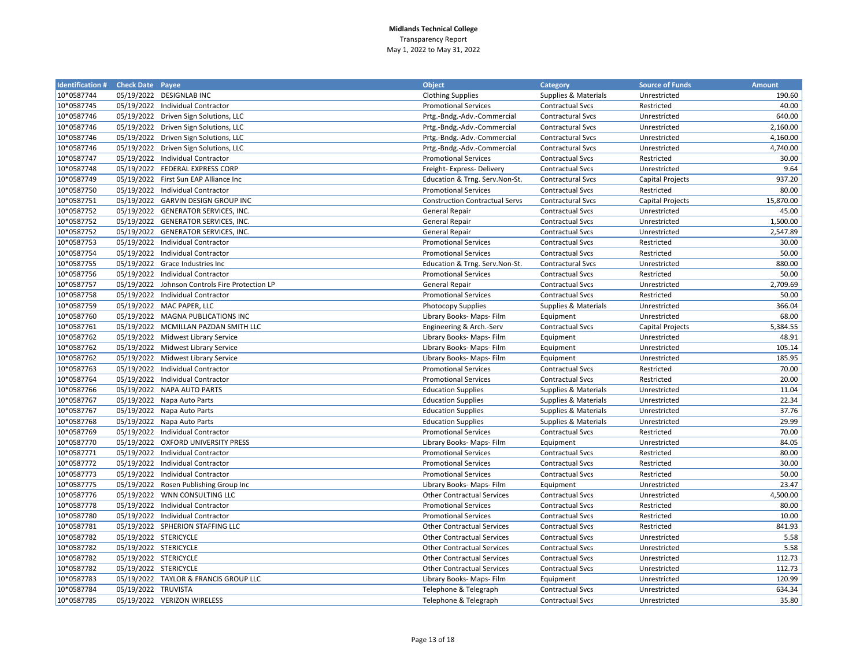| <b>Identification # Check Date Payee</b> |                       |                                       | <b>Object</b>                         | Category                 | <b>Source of Funds</b>  | <b>Amount</b> |
|------------------------------------------|-----------------------|---------------------------------------|---------------------------------------|--------------------------|-------------------------|---------------|
| 10*0587744                               |                       | 05/19/2022 DESIGNLAB INC              | <b>Clothing Supplies</b>              | Supplies & Materials     | Unrestricted            | 190.60        |
| 10*0587745                               |                       | 05/19/2022 Individual Contractor      | <b>Promotional Services</b>           | Contractual Svcs         | Restricted              | 40.00         |
| 10*0587746                               |                       | 05/19/2022 Driven Sign Solutions, LLC | Prtg.-Bndg.-Adv.-Commercial           | Contractural Svcs        | Unrestricted            | 640.00        |
| 10*0587746                               |                       | 05/19/2022 Driven Sign Solutions, LLC | Prtg.-Bndg.-Adv.-Commercial           | <b>Contractural Svcs</b> | Unrestricted            | 2,160.00      |
| 10*0587746                               |                       | 05/19/2022 Driven Sign Solutions, LLC | Prtg.-Bndg.-Adv.-Commercial           | <b>Contractural Svcs</b> | Unrestricted            | 4,160.00      |
| 10*0587746                               |                       | 05/19/2022 Driven Sign Solutions, LLC | Prtg.-Bndg.-Adv.-Commercial           | <b>Contractural Svcs</b> | Unrestricted            | 4,740.00      |
| 10*0587747                               |                       | 05/19/2022 Individual Contractor      | <b>Promotional Services</b>           | <b>Contractual Svcs</b>  | Restricted              | 30.00         |
| 10*0587748                               |                       | 05/19/2022 FEDERAL EXPRESS CORP       | Freight- Express- Delivery            | <b>Contractual Svcs</b>  | Unrestricted            | 9.64          |
| 10*0587749                               |                       | 05/19/2022 First Sun EAP Alliance Inc | Education & Trng. Serv.Non-St.        | <b>Contractural Svcs</b> | <b>Capital Projects</b> | 937.20        |
| 10*0587750                               |                       | 05/19/2022 Individual Contractor      | <b>Promotional Services</b>           | <b>Contractual Svcs</b>  | Restricted              | 80.00         |
| 10*0587751                               |                       | 05/19/2022 GARVIN DESIGN GROUP INC    | <b>Construction Contractual Servs</b> | <b>Contractural Svcs</b> | Capital Projects        | 15,870.00     |
| 10*0587752                               |                       | 05/19/2022 GENERATOR SERVICES, INC.   | General Repair                        | <b>Contractual Svcs</b>  | Unrestricted            | 45.00         |
| 10*0587752                               |                       | 05/19/2022 GENERATOR SERVICES, INC.   | <b>General Repair</b>                 | <b>Contractual Svcs</b>  | Unrestricted            | 1,500.00      |
| 10*0587752                               |                       | 05/19/2022 GENERATOR SERVICES, INC.   | General Repair                        | <b>Contractual Svcs</b>  | Unrestricted            | 2,547.89      |
| 10*0587753                               |                       | 05/19/2022 Individual Contractor      | <b>Promotional Services</b>           | <b>Contractual Svcs</b>  | Restricted              | 30.00         |
| 10*0587754                               |                       | 05/19/2022 Individual Contractor      | <b>Promotional Services</b>           | <b>Contractual Svcs</b>  | Restricted              | 50.00         |
| 10*0587755                               |                       | 05/19/2022 Grace Industries Inc       | Education & Trng. Serv.Non-St.        | <b>Contractural Svcs</b> | Unrestricted            | 880.00        |
| 10*0587756                               |                       | 05/19/2022 Individual Contractor      | <b>Promotional Services</b>           | <b>Contractual Svcs</b>  | Restricted              | 50.00         |
| 10*0587757                               | 05/19/2022            | Johnson Controls Fire Protection LP   | <b>General Repair</b>                 | <b>Contractual Svcs</b>  | Unrestricted            | 2,709.69      |
| 10*0587758                               |                       | 05/19/2022 Individual Contractor      | <b>Promotional Services</b>           | <b>Contractual Svcs</b>  | Restricted              | 50.00         |
| 10*0587759                               |                       | 05/19/2022 MAC PAPER, LLC             | <b>Photocopy Supplies</b>             | Supplies & Materials     | Unrestricted            | 366.04        |
| 10*0587760                               |                       | 05/19/2022 MAGNA PUBLICATIONS INC     | Library Books- Maps- Film             | Equipment                | Unrestricted            | 68.00         |
| 10*0587761                               |                       | 05/19/2022 MCMILLAN PAZDAN SMITH LLC  | Engineering & Arch.-Serv              | <b>Contractual Svcs</b>  | Capital Projects        | 5,384.55      |
| 10*0587762                               |                       | 05/19/2022 Midwest Library Service    | Library Books- Maps- Film             | Equipment                | Unrestricted            | 48.91         |
| 10*0587762                               |                       | 05/19/2022 Midwest Library Service    | Library Books- Maps- Film             | Equipment                | Unrestricted            | 105.14        |
| 10*0587762                               |                       | 05/19/2022 Midwest Library Service    | Library Books- Maps- Film             | Equipment                | Unrestricted            | 185.95        |
| 10*0587763                               |                       | 05/19/2022 Individual Contractor      | <b>Promotional Services</b>           | <b>Contractual Svcs</b>  | Restricted              | 70.00         |
| 10*0587764                               |                       | 05/19/2022 Individual Contractor      | <b>Promotional Services</b>           | <b>Contractual Svcs</b>  | Restricted              | 20.00         |
| 10*0587766                               |                       | 05/19/2022 NAPA AUTO PARTS            | <b>Education Supplies</b>             | Supplies & Materials     | Unrestricted            | 11.04         |
| 10*0587767                               |                       | 05/19/2022 Napa Auto Parts            | <b>Education Supplies</b>             | Supplies & Materials     | Unrestricted            | 22.34         |
| 10*0587767                               |                       | 05/19/2022 Napa Auto Parts            | <b>Education Supplies</b>             | Supplies & Materials     | Unrestricted            | 37.76         |
| 10*0587768                               |                       | 05/19/2022 Napa Auto Parts            | <b>Education Supplies</b>             | Supplies & Materials     | Unrestricted            | 29.99         |
| 10*0587769                               |                       | 05/19/2022 Individual Contractor      | <b>Promotional Services</b>           | <b>Contractual Svcs</b>  | Restricted              | 70.00         |
| 10*0587770                               |                       | 05/19/2022 OXFORD UNIVERSITY PRESS    | Library Books- Maps- Film             | Equipment                | Unrestricted            | 84.05         |
| 10*0587771                               |                       | 05/19/2022 Individual Contractor      | <b>Promotional Services</b>           | <b>Contractual Svcs</b>  | Restricted              | 80.00         |
| 10*0587772                               |                       | 05/19/2022 Individual Contractor      | <b>Promotional Services</b>           | <b>Contractual Svcs</b>  | Restricted              | 30.00         |
| 10*0587773                               |                       | 05/19/2022 Individual Contractor      | <b>Promotional Services</b>           | <b>Contractual Svcs</b>  | Restricted              | 50.00         |
| 10*0587775                               |                       | 05/19/2022 Rosen Publishing Group Inc | Library Books- Maps- Film             | Equipment                | Unrestricted            | 23.47         |
| 10*0587776                               |                       | 05/19/2022 WNN CONSULTING LLC         | <b>Other Contractual Services</b>     | <b>Contractual Svcs</b>  | Unrestricted            | 4,500.00      |
| 10*0587778                               |                       | 05/19/2022 Individual Contractor      | <b>Promotional Services</b>           | <b>Contractual Svcs</b>  | Restricted              | 80.00         |
| 10*0587780                               |                       | 05/19/2022 Individual Contractor      | <b>Promotional Services</b>           | <b>Contractual Svcs</b>  | Restricted              | 10.00         |
| 10*0587781                               |                       | 05/19/2022 SPHERION STAFFING LLC      | <b>Other Contractual Services</b>     | <b>Contractual Svcs</b>  | Restricted              | 841.93        |
| 10*0587782                               | 05/19/2022 STERICYCLE |                                       | <b>Other Contractual Services</b>     | <b>Contractual Svcs</b>  | Unrestricted            | 5.58          |
| 10*0587782                               | 05/19/2022 STERICYCLE |                                       | <b>Other Contractual Services</b>     | <b>Contractual Svcs</b>  | Unrestricted            | 5.58          |
| 10*0587782                               | 05/19/2022 STERICYCLE |                                       | <b>Other Contractual Services</b>     | <b>Contractual Svcs</b>  | Unrestricted            | 112.73        |
| 10*0587782                               | 05/19/2022 STERICYCLE |                                       | <b>Other Contractual Services</b>     | <b>Contractual Svcs</b>  | Unrestricted            | 112.73        |
| 10*0587783                               |                       | 05/19/2022 TAYLOR & FRANCIS GROUP LLC | Library Books- Maps- Film             | Equipment                | Unrestricted            | 120.99        |
| 10*0587784                               | 05/19/2022 TRUVISTA   |                                       | Telephone & Telegraph                 | <b>Contractual Svcs</b>  | Unrestricted            | 634.34        |
| 10*0587785                               |                       | 05/19/2022 VERIZON WIRELESS           | Telephone & Telegraph                 | <b>Contractual Svcs</b>  | Unrestricted            | 35.80         |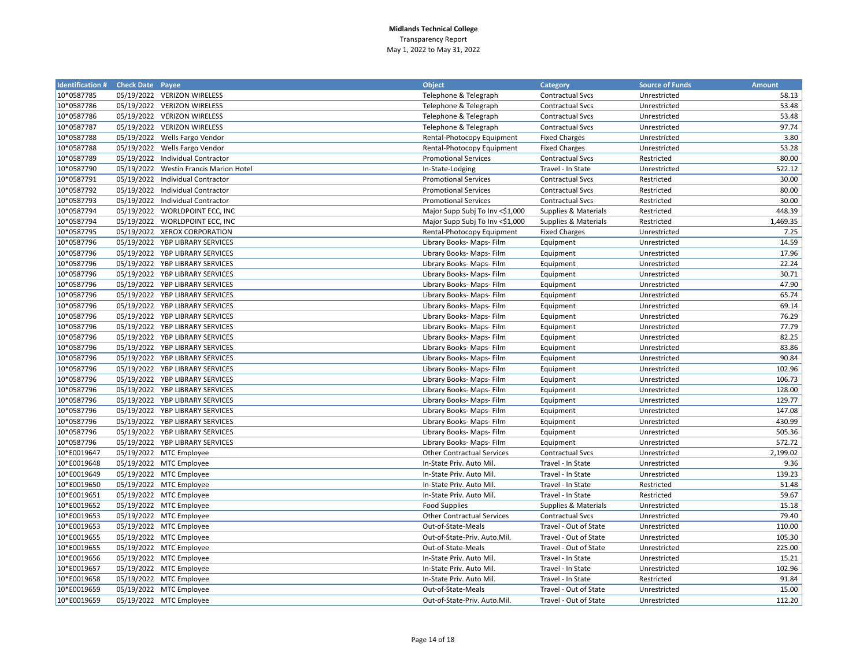| <b>Identification # Check Date Payee</b> |            |                                        | <b>Object</b>                     | <b>Category</b>         | <b>Source of Funds</b> | <b>Amount</b> |
|------------------------------------------|------------|----------------------------------------|-----------------------------------|-------------------------|------------------------|---------------|
| 10*0587785                               |            | 05/19/2022 VERIZON WIRELESS            | Telephone & Telegraph             | <b>Contractual Svcs</b> | Unrestricted           | 58.13         |
| 10*0587786                               |            | 05/19/2022 VERIZON WIRELESS            | Telephone & Telegraph             | <b>Contractual Svcs</b> | Unrestricted           | 53.48         |
| 10*0587786                               |            | 05/19/2022 VERIZON WIRELESS            | Telephone & Telegraph             | <b>Contractual Svcs</b> | Unrestricted           | 53.48         |
| 10*0587787                               |            | 05/19/2022 VERIZON WIRELESS            | Telephone & Telegraph             | <b>Contractual Svcs</b> | Unrestricted           | 97.74         |
| 10*0587788                               |            | 05/19/2022 Wells Fargo Vendor          | Rental-Photocopy Equipment        | <b>Fixed Charges</b>    | Unrestricted           | 3.80          |
| 10*0587788                               |            | 05/19/2022 Wells Fargo Vendor          | Rental-Photocopy Equipment        | <b>Fixed Charges</b>    | Unrestricted           | 53.28         |
| 10*0587789                               |            | 05/19/2022 Individual Contractor       | <b>Promotional Services</b>       | <b>Contractual Svcs</b> | Restricted             | 80.00         |
| 10*0587790                               |            | 05/19/2022 Westin Francis Marion Hotel | In-State-Lodging                  | Travel - In State       | Unrestricted           | 522.12        |
| 10*0587791                               | 05/19/2022 | <b>Individual Contractor</b>           | <b>Promotional Services</b>       | <b>Contractual Svcs</b> | Restricted             | 30.00         |
| 10*0587792                               | 05/19/2022 | Individual Contractor                  | <b>Promotional Services</b>       | <b>Contractual Svcs</b> | Restricted             | 80.00         |
| 10*0587793                               | 05/19/2022 | Individual Contractor                  | <b>Promotional Services</b>       | <b>Contractual Svcs</b> | Restricted             | 30.00         |
| 10*0587794                               |            | 05/19/2022 WORLDPOINT ECC, INC         | Major Supp Subj To Inv <\$1,000   | Supplies & Materials    | Restricted             | 448.39        |
| 10*0587794                               |            | 05/19/2022 WORLDPOINT ECC, INC         | Major Supp Subj To Inv <\$1,000   | Supplies & Materials    | Restricted             | 1,469.35      |
| 10*0587795                               |            | 05/19/2022 XEROX CORPORATION           | Rental-Photocopy Equipment        | <b>Fixed Charges</b>    | Unrestricted           | 7.25          |
| 10*0587796                               |            | 05/19/2022 YBP LIBRARY SERVICES        | Library Books- Maps- Film         | Equipment               | Unrestricted           | 14.59         |
| 10*0587796                               |            | 05/19/2022 YBP LIBRARY SERVICES        | Library Books- Maps- Film         | Equipment               | Unrestricted           | 17.96         |
| 10*0587796                               |            | 05/19/2022 YBP LIBRARY SERVICES        | Library Books- Maps- Film         | Equipment               | Unrestricted           | 22.24         |
| 10*0587796                               |            | 05/19/2022 YBP LIBRARY SERVICES        | Library Books- Maps- Film         | Equipment               | Unrestricted           | 30.71         |
| 10*0587796                               |            | 05/19/2022 YBP LIBRARY SERVICES        | Library Books- Maps- Film         | Equipment               | Unrestricted           | 47.90         |
| 10*0587796                               |            | 05/19/2022 YBP LIBRARY SERVICES        | Library Books- Maps- Film         | Equipment               | Unrestricted           | 65.74         |
| 10*0587796                               |            | 05/19/2022 YBP LIBRARY SERVICES        | Library Books- Maps- Film         | Equipment               | Unrestricted           | 69.14         |
| 10*0587796                               |            | 05/19/2022 YBP LIBRARY SERVICES        | Library Books- Maps- Film         | Equipment               | Unrestricted           | 76.29         |
| 10*0587796                               |            | 05/19/2022 YBP LIBRARY SERVICES        | Library Books- Maps- Film         | Equipment               | Unrestricted           | 77.79         |
| 10*0587796                               |            | 05/19/2022 YBP LIBRARY SERVICES        | Library Books- Maps- Film         | Equipment               | Unrestricted           | 82.25         |
| 10*0587796                               |            | 05/19/2022 YBP LIBRARY SERVICES        | Library Books- Maps- Film         | Equipment               | Unrestricted           | 83.86         |
| 10*0587796                               |            | 05/19/2022 YBP LIBRARY SERVICES        | Library Books- Maps- Film         | Equipment               | Unrestricted           | 90.84         |
| 10*0587796                               |            | 05/19/2022 YBP LIBRARY SERVICES        | Library Books- Maps- Film         | Equipment               | Unrestricted           | 102.96        |
| 10*0587796                               |            | 05/19/2022 YBP LIBRARY SERVICES        | Library Books- Maps- Film         | Equipment               | Unrestricted           | 106.73        |
| 10*0587796                               |            | 05/19/2022 YBP LIBRARY SERVICES        | Library Books- Maps- Film         | Equipment               | Unrestricted           | 128.00        |
| 10*0587796                               |            | 05/19/2022 YBP LIBRARY SERVICES        | Library Books- Maps- Film         | Equipment               | Unrestricted           | 129.77        |
| 10*0587796                               |            | 05/19/2022 YBP LIBRARY SERVICES        | Library Books- Maps- Film         | Equipment               | Unrestricted           | 147.08        |
| 10*0587796                               |            | 05/19/2022 YBP LIBRARY SERVICES        | Library Books- Maps- Film         | Equipment               | Unrestricted           | 430.99        |
| 10*0587796                               |            | 05/19/2022 YBP LIBRARY SERVICES        | Library Books- Maps- Film         | Equipment               | Unrestricted           | 505.36        |
| 10*0587796                               |            | 05/19/2022 YBP LIBRARY SERVICES        | Library Books- Maps- Film         | Equipment               | Unrestricted           | 572.72        |
| 10*E0019647                              |            | 05/19/2022 MTC Employee                | <b>Other Contractual Services</b> | <b>Contractual Svcs</b> | Unrestricted           | 2,199.02      |
| 10*E0019648                              |            | 05/19/2022 MTC Employee                | In-State Priv. Auto Mil.          | Travel - In State       | Unrestricted           | 9.36          |
| 10*E0019649                              |            | 05/19/2022 MTC Employee                | In-State Priv. Auto Mil.          | Travel - In State       | Unrestricted           | 139.23        |
| 10*E0019650                              |            | 05/19/2022 MTC Employee                | In-State Priv. Auto Mil.          | Travel - In State       | Restricted             | 51.48         |
| 10*E0019651                              |            | 05/19/2022 MTC Employee                | In-State Priv. Auto Mil.          | Travel - In State       | Restricted             | 59.67         |
| 10*E0019652                              |            | 05/19/2022 MTC Employee                | <b>Food Supplies</b>              | Supplies & Materials    | Unrestricted           | 15.18         |
| 10*E0019653                              |            | 05/19/2022 MTC Employee                | <b>Other Contractual Services</b> | <b>Contractual Svcs</b> | Unrestricted           | 79.40         |
| 10*E0019653                              |            | 05/19/2022 MTC Employee                | Out-of-State-Meals                | Travel - Out of State   | Unrestricted           | 110.00        |
| 10*E0019655                              |            | 05/19/2022 MTC Employee                | Out-of-State-Priv. Auto.Mil.      | Travel - Out of State   | Unrestricted           | 105.30        |
| 10*E0019655                              |            | 05/19/2022 MTC Employee                | Out-of-State-Meals                | Travel - Out of State   | Unrestricted           | 225.00        |
| 10*E0019656                              |            | 05/19/2022 MTC Employee                | In-State Priv. Auto Mil.          | Travel - In State       | Unrestricted           | 15.21         |
| 10*E0019657                              |            | 05/19/2022 MTC Employee                | In-State Priv. Auto Mil.          | Travel - In State       | Unrestricted           | 102.96        |
| 10*E0019658                              |            | 05/19/2022 MTC Employee                | In-State Priv. Auto Mil.          | Travel - In State       | Restricted             | 91.84         |
| 10*E0019659                              |            | 05/19/2022 MTC Employee                | Out-of-State-Meals                | Travel - Out of State   | Unrestricted           | 15.00         |
| 10*E0019659                              |            | 05/19/2022 MTC Employee                | Out-of-State-Priv. Auto.Mil.      | Travel - Out of State   | Unrestricted           | 112.20        |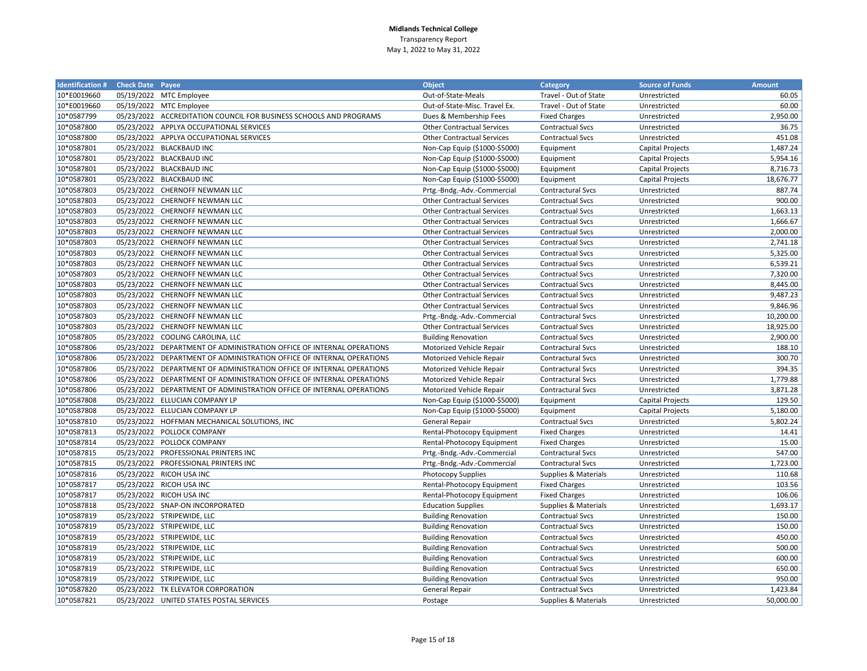| <b>Identification #</b> | <b>Check Date Payee</b> |                                                                       | <b>Object</b>                     | Category                 | <b>Source of Funds</b>  | <b>Amount</b> |
|-------------------------|-------------------------|-----------------------------------------------------------------------|-----------------------------------|--------------------------|-------------------------|---------------|
| 10*E0019660             |                         | 05/19/2022 MTC Employee                                               | Out-of-State-Meals                | Travel - Out of State    | Unrestricted            | 60.05         |
| 10*E0019660             |                         | 05/19/2022 MTC Employee                                               | Out-of-State-Misc. Travel Ex.     | Travel - Out of State    | Unrestricted            | 60.00         |
| 10*0587799              |                         | 05/23/2022 ACCREDITATION COUNCIL FOR BUSINESS SCHOOLS AND PROGRAMS    | Dues & Membership Fees            | <b>Fixed Charges</b>     | Unrestricted            | 2,950.00      |
| 10*0587800              |                         | 05/23/2022 APPLYA OCCUPATIONAL SERVICES                               | <b>Other Contractual Services</b> | <b>Contractual Svcs</b>  | Unrestricted            | 36.75         |
| 10*0587800              |                         | 05/23/2022 APPLYA OCCUPATIONAL SERVICES                               | <b>Other Contractual Services</b> | <b>Contractual Svcs</b>  | Unrestricted            | 451.08        |
| 10*0587801              |                         | 05/23/2022 BLACKBAUD INC                                              | Non-Cap Equip (\$1000-\$5000)     | Equipment                | Capital Projects        | 1,487.24      |
| 10*0587801              |                         | 05/23/2022 BLACKBAUD INC                                              | Non-Cap Equip (\$1000-\$5000)     | Equipment                | Capital Projects        | 5,954.16      |
| 10*0587801              |                         | 05/23/2022 BLACKBAUD INC                                              | Non-Cap Equip (\$1000-\$5000)     | Equipment                | <b>Capital Projects</b> | 8,716.73      |
| 10*0587801              |                         | 05/23/2022 BLACKBAUD INC                                              | Non-Cap Equip (\$1000-\$5000)     | Equipment                | <b>Capital Projects</b> | 18,676.77     |
| 10*0587803              |                         | 05/23/2022 CHERNOFF NEWMAN LLC                                        | Prtg.-Bndg.-Adv.-Commercial       | <b>Contractural Svcs</b> | Unrestricted            | 887.74        |
| 10*0587803              |                         | 05/23/2022 CHERNOFF NEWMAN LLC                                        | <b>Other Contractual Services</b> | <b>Contractual Svcs</b>  | Unrestricted            | 900.00        |
| 10*0587803              |                         | 05/23/2022 CHERNOFF NEWMAN LLC                                        | <b>Other Contractual Services</b> | <b>Contractual Svcs</b>  | Unrestricted            | 1,663.13      |
| 10*0587803              |                         | 05/23/2022 CHERNOFF NEWMAN LLC                                        | <b>Other Contractual Services</b> | <b>Contractual Svcs</b>  | Unrestricted            | 1,666.67      |
| 10*0587803              |                         | 05/23/2022 CHERNOFF NEWMAN LLC                                        | <b>Other Contractual Services</b> | <b>Contractual Svcs</b>  | Unrestricted            | 2,000.00      |
| 10*0587803              |                         | 05/23/2022 CHERNOFF NEWMAN LLC                                        | <b>Other Contractual Services</b> | <b>Contractual Svcs</b>  | Unrestricted            | 2,741.18      |
| 10*0587803              |                         | 05/23/2022 CHERNOFF NEWMAN LLC                                        | <b>Other Contractual Services</b> | <b>Contractual Svcs</b>  | Unrestricted            | 5,325.00      |
| 10*0587803              |                         | 05/23/2022 CHERNOFF NEWMAN LLC                                        | <b>Other Contractual Services</b> | <b>Contractual Svcs</b>  | Unrestricted            | 6,539.21      |
| 10*0587803              |                         | 05/23/2022 CHERNOFF NEWMAN LLC                                        | <b>Other Contractual Services</b> | <b>Contractual Svcs</b>  | Unrestricted            | 7,320.00      |
| 10*0587803              |                         | 05/23/2022 CHERNOFF NEWMAN LLC                                        | <b>Other Contractual Services</b> | <b>Contractual Svcs</b>  | Unrestricted            | 8,445.00      |
| 10*0587803              |                         | 05/23/2022 CHERNOFF NEWMAN LLC                                        | <b>Other Contractual Services</b> | <b>Contractual Svcs</b>  | Unrestricted            | 9,487.23      |
| 10*0587803              |                         | 05/23/2022 CHERNOFF NEWMAN LLC                                        | <b>Other Contractual Services</b> | <b>Contractual Svcs</b>  | Unrestricted            | 9,846.96      |
| 10*0587803              |                         | 05/23/2022 CHERNOFF NEWMAN LLC                                        | Prtg.-Bndg.-Adv.-Commercial       | <b>Contractural Svcs</b> | Unrestricted            | 10,200.00     |
| 10*0587803              |                         | 05/23/2022 CHERNOFF NEWMAN LLC                                        | <b>Other Contractual Services</b> | <b>Contractual Svcs</b>  | Unrestricted            | 18,925.00     |
| 10*0587805              |                         | 05/23/2022 COOLING CAROLINA, LLC                                      | <b>Building Renovation</b>        | <b>Contractual Svcs</b>  | Unrestricted            | 2,900.00      |
| 10*0587806              |                         | 05/23/2022 DEPARTMENT OF ADMINISTRATION OFFICE OF INTERNAL OPERATIONS | Motorized Vehicle Repair          | <b>Contractural Svcs</b> | Unrestricted            | 188.10        |
| 10*0587806              | 05/23/2022              | DEPARTMENT OF ADMINISTRATION OFFICE OF INTERNAL OPERATIONS            | Motorized Vehicle Repair          | <b>Contractural Svcs</b> | Unrestricted            | 300.70        |
| 10*0587806              |                         | 05/23/2022 DEPARTMENT OF ADMINISTRATION OFFICE OF INTERNAL OPERATIONS | Motorized Vehicle Repair          | <b>Contractural Svcs</b> | Unrestricted            | 394.35        |
| 10*0587806              | 05/23/2022              | DEPARTMENT OF ADMINISTRATION OFFICE OF INTERNAL OPERATIONS            | Motorized Vehicle Repair          | <b>Contractural Svcs</b> | Unrestricted            | 1,779.88      |
| 10*0587806              | 05/23/2022              | DEPARTMENT OF ADMINISTRATION OFFICE OF INTERNAL OPERATIONS            | Motorized Vehicle Repair          | <b>Contractural Svcs</b> | Unrestricted            | 3,871.28      |
| 10*0587808              |                         | 05/23/2022 ELLUCIAN COMPANY LP                                        | Non-Cap Equip (\$1000-\$5000)     | Equipment                | <b>Capital Projects</b> | 129.50        |
| 10*0587808              |                         | 05/23/2022 ELLUCIAN COMPANY LP                                        | Non-Cap Equip (\$1000-\$5000)     | Equipment                | <b>Capital Projects</b> | 5,180.00      |
| 10*0587810              | 05/23/2022              | HOFFMAN MECHANICAL SOLUTIONS, INC                                     | <b>General Repair</b>             | <b>Contractual Svcs</b>  | Unrestricted            | 5,802.24      |
| 10*0587813              |                         | 05/23/2022 POLLOCK COMPANY                                            | Rental-Photocopy Equipment        | <b>Fixed Charges</b>     | Unrestricted            | 14.41         |
| 10*0587814              |                         | 05/23/2022 POLLOCK COMPANY                                            | Rental-Photocopy Equipment        | <b>Fixed Charges</b>     | Unrestricted            | 15.00         |
| 10*0587815              |                         | 05/23/2022 PROFESSIONAL PRINTERS INC                                  | Prtg.-Bndg.-Adv.-Commercial       | <b>Contractural Svcs</b> | Unrestricted            | 547.00        |
| 10*0587815              |                         | 05/23/2022 PROFESSIONAL PRINTERS INC                                  | Prtg.-Bndg.-Adv.-Commercial       | <b>Contractural Svcs</b> | Unrestricted            | 1,723.00      |
| 10*0587816              |                         | 05/23/2022 RICOH USA INC                                              | <b>Photocopy Supplies</b>         | Supplies & Materials     | Unrestricted            | 110.68        |
| 10*0587817              |                         | 05/23/2022 RICOH USA INC                                              | Rental-Photocopy Equipment        | <b>Fixed Charges</b>     | Unrestricted            | 103.56        |
| 10*0587817              |                         | 05/23/2022 RICOH USA INC                                              | Rental-Photocopy Equipment        | <b>Fixed Charges</b>     | Unrestricted            | 106.06        |
| 10*0587818              |                         | 05/23/2022 SNAP-ON INCORPORATED                                       | <b>Education Supplies</b>         | Supplies & Materials     | Unrestricted            | 1,693.17      |
| 10*0587819              |                         | 05/23/2022 STRIPEWIDE, LLC                                            | <b>Building Renovation</b>        | <b>Contractual Svcs</b>  | Unrestricted            | 150.00        |
| 10*0587819              |                         | 05/23/2022 STRIPEWIDE, LLC                                            | <b>Building Renovation</b>        | <b>Contractual Svcs</b>  | Unrestricted            | 150.00        |
| 10*0587819              |                         | 05/23/2022 STRIPEWIDE, LLC                                            | <b>Building Renovation</b>        | <b>Contractual Svcs</b>  | Unrestricted            | 450.00        |
| 10*0587819              |                         | 05/23/2022 STRIPEWIDE, LLC                                            | <b>Building Renovation</b>        | <b>Contractual Svcs</b>  | Unrestricted            | 500.00        |
| 10*0587819              |                         | 05/23/2022 STRIPEWIDE, LLC                                            | <b>Building Renovation</b>        | <b>Contractual Svcs</b>  | Unrestricted            | 600.00        |
| 10*0587819              |                         | 05/23/2022 STRIPEWIDE, LLC                                            | <b>Building Renovation</b>        | <b>Contractual Svcs</b>  | Unrestricted            | 650.00        |
| 10*0587819              |                         | 05/23/2022 STRIPEWIDE, LLC                                            | <b>Building Renovation</b>        | <b>Contractual Svcs</b>  | Unrestricted            | 950.00        |
| 10*0587820              |                         | 05/23/2022 TK ELEVATOR CORPORATION                                    | <b>General Repair</b>             | <b>Contractual Svcs</b>  | Unrestricted            | 1,423.84      |
| 10*0587821              |                         | 05/23/2022 UNITED STATES POSTAL SERVICES                              | Postage                           | Supplies & Materials     | Unrestricted            | 50,000.00     |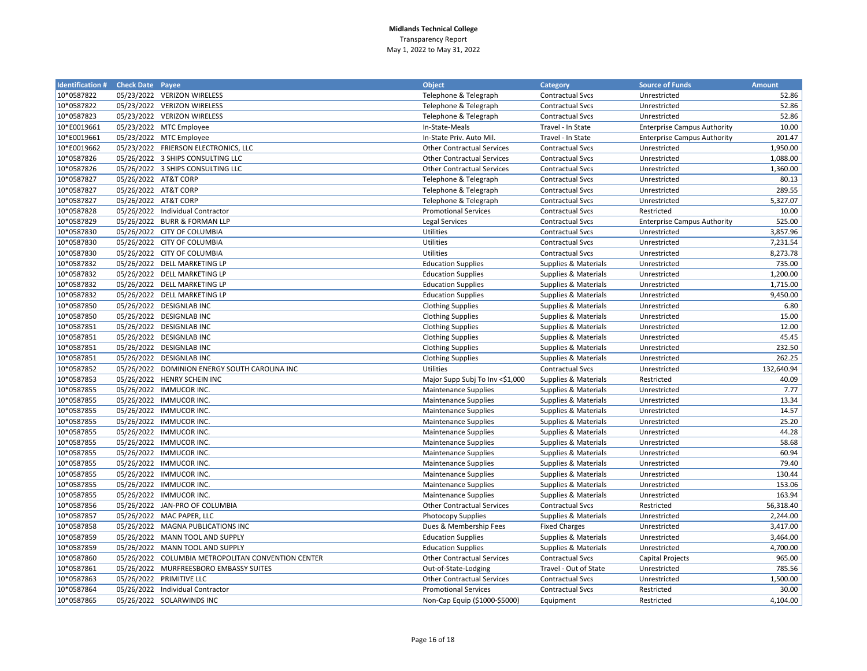| <b>Identification # Check Date Payee</b> |                      |                                                    | <b>Object</b>                     | <b>Category</b>         | <b>Source of Funds</b>             | <b>Amount</b> |
|------------------------------------------|----------------------|----------------------------------------------------|-----------------------------------|-------------------------|------------------------------------|---------------|
| 10*0587822                               |                      | 05/23/2022 VERIZON WIRELESS                        | Telephone & Telegraph             | <b>Contractual Svcs</b> | Unrestricted                       | 52.86         |
| 10*0587822                               |                      | 05/23/2022 VERIZON WIRELESS                        | Telephone & Telegraph             | <b>Contractual Svcs</b> | Unrestricted                       | 52.86         |
| 10*0587823                               |                      | 05/23/2022 VERIZON WIRELESS                        | Telephone & Telegraph             | Contractual Svcs        | Unrestricted                       | 52.86         |
| 10*E0019661                              |                      | 05/23/2022 MTC Employee                            | In-State-Meals                    | Travel - In State       | <b>Enterprise Campus Authority</b> | 10.00         |
| 10*E0019661                              |                      | 05/23/2022 MTC Employee                            | In-State Priv. Auto Mil.          | Travel - In State       | <b>Enterprise Campus Authority</b> | 201.47        |
| 10*E0019662                              |                      | 05/23/2022 FRIERSON ELECTRONICS, LLC               | <b>Other Contractual Services</b> | <b>Contractual Svcs</b> | Unrestricted                       | 1,950.00      |
| 10*0587826                               |                      | 05/26/2022 3 SHIPS CONSULTING LLC                  | <b>Other Contractual Services</b> | <b>Contractual Svcs</b> | Unrestricted                       | 1,088.00      |
| 10*0587826                               |                      | 05/26/2022 3 SHIPS CONSULTING LLC                  | <b>Other Contractual Services</b> | <b>Contractual Svcs</b> | Unrestricted                       | 1,360.00      |
| 10*0587827                               | 05/26/2022 AT&T CORP |                                                    | Telephone & Telegraph             | <b>Contractual Svcs</b> | Unrestricted                       | 80.13         |
| 10*0587827                               | 05/26/2022 AT&T CORP |                                                    | Telephone & Telegraph             | <b>Contractual Svcs</b> | Unrestricted                       | 289.55        |
| 10*0587827                               | 05/26/2022 AT&T CORP |                                                    | Telephone & Telegraph             | <b>Contractual Svcs</b> | Unrestricted                       | 5,327.07      |
| 10*0587828                               |                      | 05/26/2022 Individual Contractor                   | <b>Promotional Services</b>       | <b>Contractual Svcs</b> | Restricted                         | 10.00         |
| 10*0587829                               |                      | 05/26/2022 BURR & FORMAN LLP                       | Legal Services                    | <b>Contractual Svcs</b> | <b>Enterprise Campus Authority</b> | 525.00        |
| 10*0587830                               |                      | 05/26/2022 CITY OF COLUMBIA                        | <b>Utilities</b>                  | <b>Contractual Svcs</b> | Unrestricted                       | 3,857.96      |
| 10*0587830                               |                      | 05/26/2022 CITY OF COLUMBIA                        | <b>Utilities</b>                  | <b>Contractual Svcs</b> | Unrestricted                       | 7,231.54      |
| 10*0587830                               |                      | 05/26/2022 CITY OF COLUMBIA                        | <b>Utilities</b>                  | <b>Contractual Svcs</b> | Unrestricted                       | 8,273.78      |
| 10*0587832                               |                      | 05/26/2022 DELL MARKETING LP                       | <b>Education Supplies</b>         | Supplies & Materials    | Unrestricted                       | 735.00        |
| 10*0587832                               |                      | 05/26/2022 DELL MARKETING LP                       | <b>Education Supplies</b>         | Supplies & Materials    | Unrestricted                       | 1,200.00      |
| 10*0587832                               |                      | 05/26/2022 DELL MARKETING LP                       | <b>Education Supplies</b>         | Supplies & Materials    | Unrestricted                       | 1,715.00      |
| 10*0587832                               |                      | 05/26/2022 DELL MARKETING LP                       | <b>Education Supplies</b>         | Supplies & Materials    | Unrestricted                       | 9,450.00      |
| 10*0587850                               |                      | 05/26/2022 DESIGNLAB INC                           | <b>Clothing Supplies</b>          | Supplies & Materials    | Unrestricted                       | 6.80          |
| 10*0587850                               |                      | 05/26/2022 DESIGNLAB INC                           | <b>Clothing Supplies</b>          | Supplies & Materials    | Unrestricted                       | 15.00         |
| 10*0587851                               |                      | 05/26/2022 DESIGNLAB INC                           | <b>Clothing Supplies</b>          | Supplies & Materials    | Unrestricted                       | 12.00         |
| 10*0587851                               |                      | 05/26/2022 DESIGNLAB INC                           | <b>Clothing Supplies</b>          | Supplies & Materials    | Unrestricted                       | 45.45         |
| 10*0587851                               |                      | 05/26/2022 DESIGNLAB INC                           | <b>Clothing Supplies</b>          | Supplies & Materials    | Unrestricted                       | 232.50        |
| 10*0587851                               |                      | 05/26/2022 DESIGNLAB INC                           | <b>Clothing Supplies</b>          | Supplies & Materials    | Unrestricted                       | 262.25        |
| 10*0587852                               |                      | 05/26/2022 DOMINION ENERGY SOUTH CAROLINA INC      | Utilities                         | <b>Contractual Svcs</b> | Unrestricted                       | 132,640.94    |
| 10*0587853                               |                      | 05/26/2022 HENRY SCHEIN INC                        | Major Supp Subj To Inv <\$1,000   | Supplies & Materials    | Restricted                         | 40.09         |
| 10*0587855                               |                      | 05/26/2022 IMMUCOR INC.                            | <b>Maintenance Supplies</b>       | Supplies & Materials    | Unrestricted                       | 7.77          |
| 10*0587855                               |                      | 05/26/2022 IMMUCOR INC.                            | <b>Maintenance Supplies</b>       | Supplies & Materials    | Unrestricted                       | 13.34         |
| 10*0587855                               |                      | 05/26/2022 IMMUCOR INC.                            | <b>Maintenance Supplies</b>       | Supplies & Materials    | Unrestricted                       | 14.57         |
| 10*0587855                               |                      | 05/26/2022 IMMUCOR INC.                            | <b>Maintenance Supplies</b>       | Supplies & Materials    | Unrestricted                       | 25.20         |
| 10*0587855                               |                      | 05/26/2022 IMMUCOR INC.                            | <b>Maintenance Supplies</b>       | Supplies & Materials    | Unrestricted                       | 44.28         |
| 10*0587855                               |                      | 05/26/2022 IMMUCOR INC.                            | <b>Maintenance Supplies</b>       | Supplies & Materials    | Unrestricted                       | 58.68         |
| 10*0587855                               |                      | 05/26/2022 IMMUCOR INC.                            | <b>Maintenance Supplies</b>       | Supplies & Materials    | Unrestricted                       | 60.94         |
| 10*0587855                               |                      | 05/26/2022 IMMUCOR INC.                            | <b>Maintenance Supplies</b>       | Supplies & Materials    | Unrestricted                       | 79.40         |
| 10*0587855                               |                      | 05/26/2022 IMMUCOR INC.                            | Maintenance Supplies              | Supplies & Materials    | Unrestricted                       | 130.44        |
| 10*0587855                               |                      | 05/26/2022 IMMUCOR INC.                            | <b>Maintenance Supplies</b>       | Supplies & Materials    | Unrestricted                       | 153.06        |
| 10*0587855                               |                      | 05/26/2022 IMMUCOR INC.                            | <b>Maintenance Supplies</b>       | Supplies & Materials    | Unrestricted                       | 163.94        |
| 10*0587856                               |                      | 05/26/2022 JAN-PRO OF COLUMBIA                     | <b>Other Contractual Services</b> | <b>Contractual Svcs</b> | Restricted                         | 56,318.40     |
| 10*0587857                               |                      | 05/26/2022 MAC PAPER, LLC                          | <b>Photocopy Supplies</b>         | Supplies & Materials    | Unrestricted                       | 2,244.00      |
| 10*0587858                               |                      | 05/26/2022 MAGNA PUBLICATIONS INC                  | Dues & Membership Fees            | <b>Fixed Charges</b>    | Unrestricted                       | 3,417.00      |
| 10*0587859                               |                      | 05/26/2022 MANN TOOL AND SUPPLY                    | <b>Education Supplies</b>         | Supplies & Materials    | Unrestricted                       | 3,464.00      |
| 10*0587859                               |                      | 05/26/2022 MANN TOOL AND SUPPLY                    | <b>Education Supplies</b>         | Supplies & Materials    | Unrestricted                       | 4,700.00      |
| 10*0587860                               |                      | 05/26/2022 COLUMBIA METROPOLITAN CONVENTION CENTER | <b>Other Contractual Services</b> | <b>Contractual Svcs</b> | Capital Projects                   | 965.00        |
| 10*0587861                               |                      | 05/26/2022 MURFREESBORO EMBASSY SUITES             | Out-of-State-Lodging              | Travel - Out of State   | Unrestricted                       | 785.56        |
| 10*0587863                               |                      | 05/26/2022 PRIMITIVE LLC                           | <b>Other Contractual Services</b> | <b>Contractual Svcs</b> | Unrestricted                       | 1,500.00      |
| 10*0587864                               |                      | 05/26/2022 Individual Contractor                   | <b>Promotional Services</b>       | <b>Contractual Svcs</b> | Restricted                         | 30.00         |
| 10*0587865                               |                      | 05/26/2022 SOLARWINDS INC                          | Non-Cap Equip (\$1000-\$5000)     | Equipment               | Restricted                         | 4,104.00      |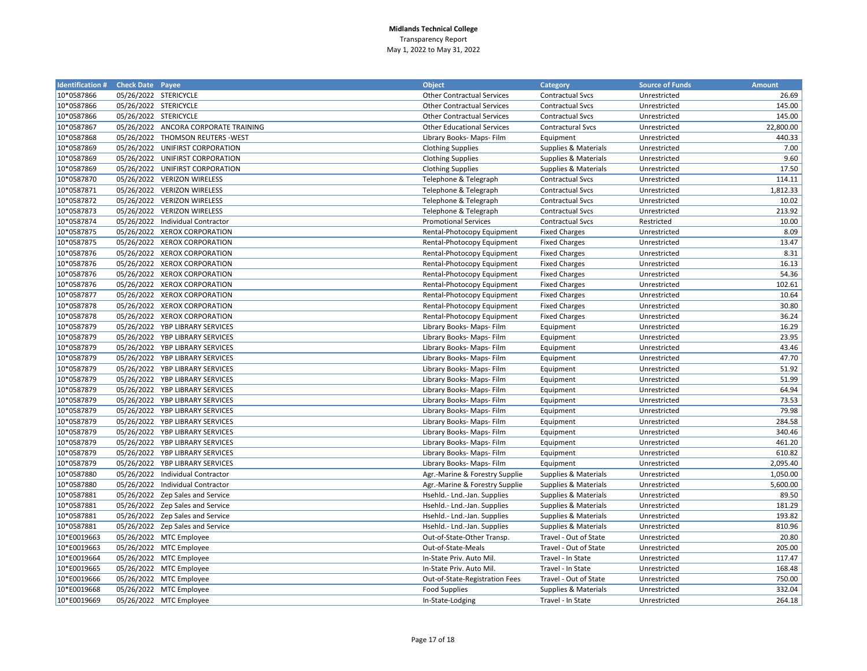| <b>Identification # Check Date Payee</b> |                       |                                      | <b>Object</b>                     | Category                 | <b>Source of Funds</b> | <b>Amount</b> |
|------------------------------------------|-----------------------|--------------------------------------|-----------------------------------|--------------------------|------------------------|---------------|
| 10*0587866                               | 05/26/2022 STERICYCLE |                                      | <b>Other Contractual Services</b> | <b>Contractual Svcs</b>  | Unrestricted           | 26.69         |
| 10*0587866                               | 05/26/2022 STERICYCLE |                                      | <b>Other Contractual Services</b> | <b>Contractual Svcs</b>  | Unrestricted           | 145.00        |
| 10*0587866                               | 05/26/2022 STERICYCLE |                                      | <b>Other Contractual Services</b> | <b>Contractual Svcs</b>  | Unrestricted           | 145.00        |
| 10*0587867                               |                       | 05/26/2022 ANCORA CORPORATE TRAINING | <b>Other Educational Services</b> | <b>Contractural Svcs</b> | Unrestricted           | 22,800.00     |
| 10*0587868                               |                       | 05/26/2022 THOMSON REUTERS - WEST    | Library Books- Maps- Film         | Equipment                | Unrestricted           | 440.33        |
| 10*0587869                               |                       | 05/26/2022 UNIFIRST CORPORATION      | <b>Clothing Supplies</b>          | Supplies & Materials     | Unrestricted           | 7.00          |
| 10*0587869                               |                       | 05/26/2022 UNIFIRST CORPORATION      | <b>Clothing Supplies</b>          | Supplies & Materials     | Unrestricted           | 9.60          |
| 10*0587869                               |                       | 05/26/2022 UNIFIRST CORPORATION      | <b>Clothing Supplies</b>          | Supplies & Materials     | Unrestricted           | 17.50         |
| 10*0587870                               |                       | 05/26/2022 VERIZON WIRELESS          | Telephone & Telegraph             | <b>Contractual Svcs</b>  | Unrestricted           | 114.11        |
| 10*0587871                               |                       | 05/26/2022 VERIZON WIRELESS          | Telephone & Telegraph             | <b>Contractual Svcs</b>  | Unrestricted           | 1,812.33      |
| 10*0587872                               |                       | 05/26/2022 VERIZON WIRELESS          | Telephone & Telegraph             | <b>Contractual Svcs</b>  | Unrestricted           | 10.02         |
| 10*0587873                               |                       | 05/26/2022 VERIZON WIRELESS          | Telephone & Telegraph             | <b>Contractual Svcs</b>  | Unrestricted           | 213.92        |
| 10*0587874                               |                       | 05/26/2022 Individual Contractor     | <b>Promotional Services</b>       | <b>Contractual Svcs</b>  | Restricted             | 10.00         |
| 10*0587875                               |                       | 05/26/2022 XEROX CORPORATION         | Rental-Photocopy Equipment        | <b>Fixed Charges</b>     | Unrestricted           | 8.09          |
| 10*0587875                               |                       | 05/26/2022 XEROX CORPORATION         | Rental-Photocopy Equipment        | <b>Fixed Charges</b>     | Unrestricted           | 13.47         |
| 10*0587876                               |                       | 05/26/2022 XEROX CORPORATION         | Rental-Photocopy Equipment        | <b>Fixed Charges</b>     | Unrestricted           | 8.31          |
| 10*0587876                               |                       | 05/26/2022 XEROX CORPORATION         | Rental-Photocopy Equipment        | <b>Fixed Charges</b>     | Unrestricted           | 16.13         |
| 10*0587876                               |                       | 05/26/2022 XEROX CORPORATION         | Rental-Photocopy Equipment        | <b>Fixed Charges</b>     | Unrestricted           | 54.36         |
| 10*0587876                               |                       | 05/26/2022 XEROX CORPORATION         | Rental-Photocopy Equipment        | <b>Fixed Charges</b>     | Unrestricted           | 102.61        |
| 10*0587877                               |                       | 05/26/2022 XEROX CORPORATION         | Rental-Photocopy Equipment        | <b>Fixed Charges</b>     | Unrestricted           | 10.64         |
| 10*0587878                               |                       | 05/26/2022 XEROX CORPORATION         | Rental-Photocopy Equipment        | <b>Fixed Charges</b>     | Unrestricted           | 30.80         |
| 10*0587878                               |                       | 05/26/2022 XEROX CORPORATION         | Rental-Photocopy Equipment        | <b>Fixed Charges</b>     | Unrestricted           | 36.24         |
| 10*0587879                               |                       | 05/26/2022 YBP LIBRARY SERVICES      | Library Books- Maps- Film         | Equipment                | Unrestricted           | 16.29         |
| 10*0587879                               |                       | 05/26/2022 YBP LIBRARY SERVICES      | Library Books- Maps- Film         | Equipment                | Unrestricted           | 23.95         |
| 10*0587879                               |                       | 05/26/2022 YBP LIBRARY SERVICES      | Library Books- Maps- Film         | Equipment                | Unrestricted           | 43.46         |
| 10*0587879                               |                       | 05/26/2022 YBP LIBRARY SERVICES      | Library Books- Maps- Film         | Equipment                | Unrestricted           | 47.70         |
| 10*0587879                               |                       | 05/26/2022 YBP LIBRARY SERVICES      | Library Books- Maps- Film         | Equipment                | Unrestricted           | 51.92         |
| 10*0587879                               |                       | 05/26/2022 YBP LIBRARY SERVICES      | Library Books- Maps- Film         | Equipment                | Unrestricted           | 51.99         |
| 10*0587879                               |                       | 05/26/2022 YBP LIBRARY SERVICES      | Library Books- Maps- Film         | Equipment                | Unrestricted           | 64.94         |
| 10*0587879                               |                       | 05/26/2022 YBP LIBRARY SERVICES      | Library Books- Maps- Film         | Equipment                | Unrestricted           | 73.53         |
| 10*0587879                               |                       | 05/26/2022 YBP LIBRARY SERVICES      | Library Books- Maps- Film         | Equipment                | Unrestricted           | 79.98         |
| 10*0587879                               |                       | 05/26/2022 YBP LIBRARY SERVICES      | Library Books- Maps- Film         | Equipment                | Unrestricted           | 284.58        |
| 10*0587879                               |                       | 05/26/2022 YBP LIBRARY SERVICES      | Library Books- Maps- Film         | Equipment                | Unrestricted           | 340.46        |
| 10*0587879                               |                       | 05/26/2022 YBP LIBRARY SERVICES      | Library Books- Maps- Film         | Equipment                | Unrestricted           | 461.20        |
| 10*0587879                               |                       | 05/26/2022 YBP LIBRARY SERVICES      | Library Books- Maps- Film         | Equipment                | Unrestricted           | 610.82        |
| 10*0587879                               |                       | 05/26/2022 YBP LIBRARY SERVICES      | Library Books- Maps- Film         | Equipment                | Unrestricted           | 2,095.40      |
| 10*0587880                               |                       | 05/26/2022 Individual Contractor     | Agr.-Marine & Forestry Supplie    | Supplies & Materials     | Unrestricted           | 1,050.00      |
| 10*0587880                               |                       | 05/26/2022 Individual Contractor     | Agr.-Marine & Forestry Supplie    | Supplies & Materials     | Unrestricted           | 5,600.00      |
| 10*0587881                               |                       | 05/26/2022 Zep Sales and Service     | Hsehld.- Lnd.-Jan. Supplies       | Supplies & Materials     | Unrestricted           | 89.50         |
| 10*0587881                               |                       | 05/26/2022 Zep Sales and Service     | Hsehld.- Lnd.-Jan. Supplies       | Supplies & Materials     | Unrestricted           | 181.29        |
| 10*0587881                               |                       | 05/26/2022 Zep Sales and Service     | Hsehld.- Lnd.-Jan. Supplies       | Supplies & Materials     | Unrestricted           | 193.82        |
| 10*0587881                               |                       | 05/26/2022 Zep Sales and Service     | Hsehld.- Lnd.-Jan. Supplies       | Supplies & Materials     | Unrestricted           | 810.96        |
| 10*E0019663                              |                       | 05/26/2022 MTC Employee              | Out-of-State-Other Transp.        | Travel - Out of State    | Unrestricted           | 20.80         |
| 10*E0019663                              |                       | 05/26/2022 MTC Employee              | Out-of-State-Meals                | Travel - Out of State    | Unrestricted           | 205.00        |
| 10*E0019664                              |                       | 05/26/2022 MTC Employee              | In-State Priv. Auto Mil.          | Travel - In State        | Unrestricted           | 117.47        |
| 10*E0019665                              |                       | 05/26/2022 MTC Employee              | In-State Priv. Auto Mil.          | Travel - In State        | Unrestricted           | 168.48        |
| 10*E0019666                              |                       | 05/26/2022 MTC Employee              | Out-of-State-Registration Fees    | Travel - Out of State    | Unrestricted           | 750.00        |
| 10*E0019668                              |                       | 05/26/2022 MTC Employee              | <b>Food Supplies</b>              | Supplies & Materials     | Unrestricted           | 332.04        |
| 10*E0019669                              |                       | 05/26/2022 MTC Employee              | In-State-Lodging                  | Travel - In State        | Unrestricted           | 264.18        |